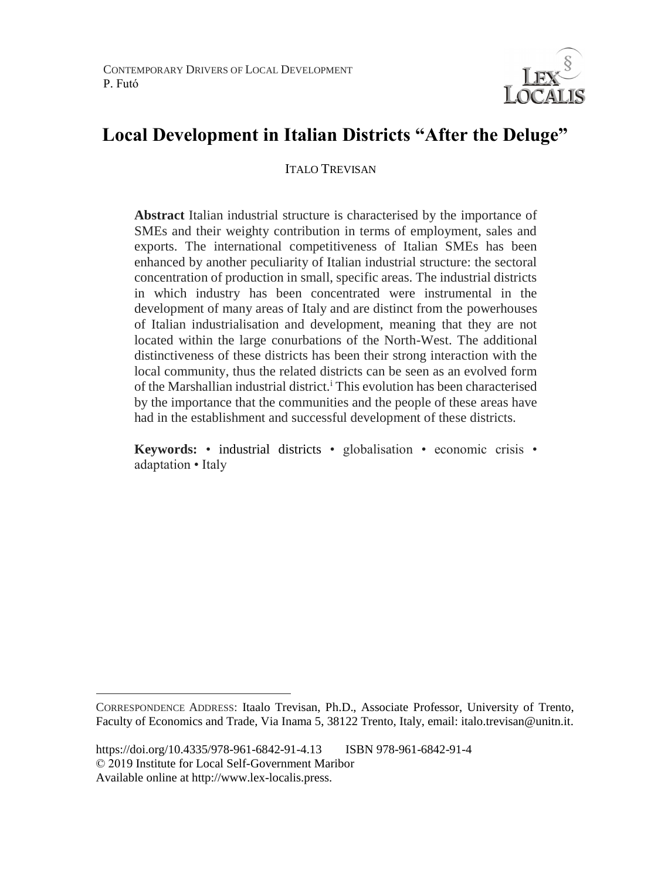

# **Local Development in Italian Districts "After the Deluge"**

**ITALO TREVISAN** 

**Abstract** Italian industrial structure is characterised by the importance of SMEs and their weighty contribution in terms of employment, sales and exports. The international competitiveness of Italian SMEs has been enhanced by another peculiarity of Italian industrial structure: the sectoral concentration of production in small, specific areas. The industrial districts in which industry has been concentrated were instrumental in the development of many areas of Italy and are distinct from the powerhouses of Italian industrialisation and development, meaning that they are not located within the large conurbations of the North-West. The additional distinctiveness of these districts has been their strong interaction with the local community, thus the related districts can be seen as an evolved form of the Marshallian industrial district.<sup>1</sup> This evolution has been characterised by the importance that the communities and the people of these areas have had in the establishment and successful development of these districts.

**Keywords:** • industrial districts • globalisation • economic crisis • adaptation • Italy

 $\overline{a}$ 

CORRESPONDENCE ADDRESS: Itaalo Trevisan, Ph.D., Associate Professor, University of Trento, Faculty of Economics and Trade, Via Inama 5, 38122 Trento, Italy, email: italo.trevisan@unitn.it.

https://doi.org/10.4335/978-961-6842-91-4.13 ISBN 978-961-6842-91-4 © 2019 Institute for Local Self-Government Maribor Available online at http://www.lex-localis.press.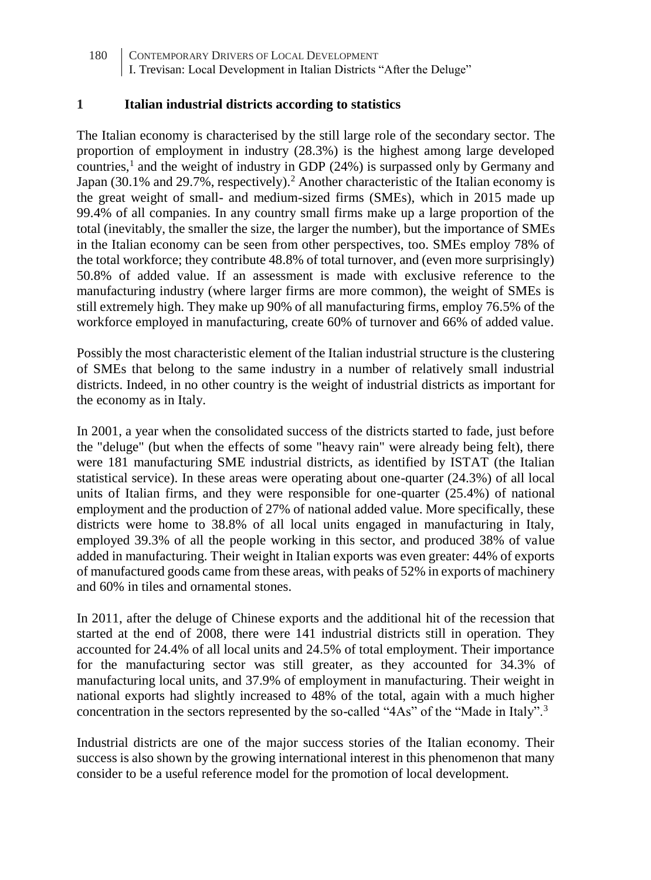#### **1 Italian industrial districts according to statistics**

The Italian economy is characterised by the still large role of the secondary sector. The proportion of employment in industry (28.3%) is the highest among large developed countries,<sup>1</sup> and the weight of industry in GDP  $(24%)$  is surpassed only by Germany and Japan (30.1% and 29.7%, respectively).<sup>2</sup> Another characteristic of the Italian economy is the great weight of small- and medium-sized firms (SMEs), which in 2015 made up 99.4% of all companies. In any country small firms make up a large proportion of the total (inevitably, the smaller the size, the larger the number), but the importance of SMEs in the Italian economy can be seen from other perspectives, too. SMEs employ 78% of the total workforce; they contribute 48.8% of total turnover, and (even more surprisingly) 50.8% of added value. If an assessment is made with exclusive reference to the manufacturing industry (where larger firms are more common), the weight of SMEs is still extremely high. They make up 90% of all manufacturing firms, employ 76.5% of the workforce employed in manufacturing, create 60% of turnover and 66% of added value.

Possibly the most characteristic element of the Italian industrial structure is the clustering of SMEs that belong to the same industry in a number of relatively small industrial districts. Indeed, in no other country is the weight of industrial districts as important for the economy as in Italy.

In 2001, a year when the consolidated success of the districts started to fade, just before the "deluge" (but when the effects of some "heavy rain" were already being felt), there were 181 manufacturing SME industrial districts, as identified by ISTAT (the Italian statistical service). In these areas were operating about one-quarter (24.3%) of all local units of Italian firms, and they were responsible for one-quarter (25.4%) of national employment and the production of 27% of national added value. More specifically, these districts were home to 38.8% of all local units engaged in manufacturing in Italy, employed 39.3% of all the people working in this sector, and produced 38% of value added in manufacturing. Their weight in Italian exports was even greater: 44% of exports of manufactured goods came from these areas, with peaks of 52% in exports of machinery and 60% in tiles and ornamental stones.

In 2011, after the deluge of Chinese exports and the additional hit of the recession that started at the end of 2008, there were 141 industrial districts still in operation. They accounted for 24.4% of all local units and 24.5% of total employment. Their importance for the manufacturing sector was still greater, as they accounted for 34.3% of manufacturing local units, and 37.9% of employment in manufacturing. Their weight in national exports had slightly increased to 48% of the total, again with a much higher concentration in the sectors represented by the so-called "4As" of the "Made in Italy".<sup>3</sup>

Industrial districts are one of the major success stories of the Italian economy. Their success is also shown by the growing international interest in this phenomenon that many consider to be a useful reference model for the promotion of local development.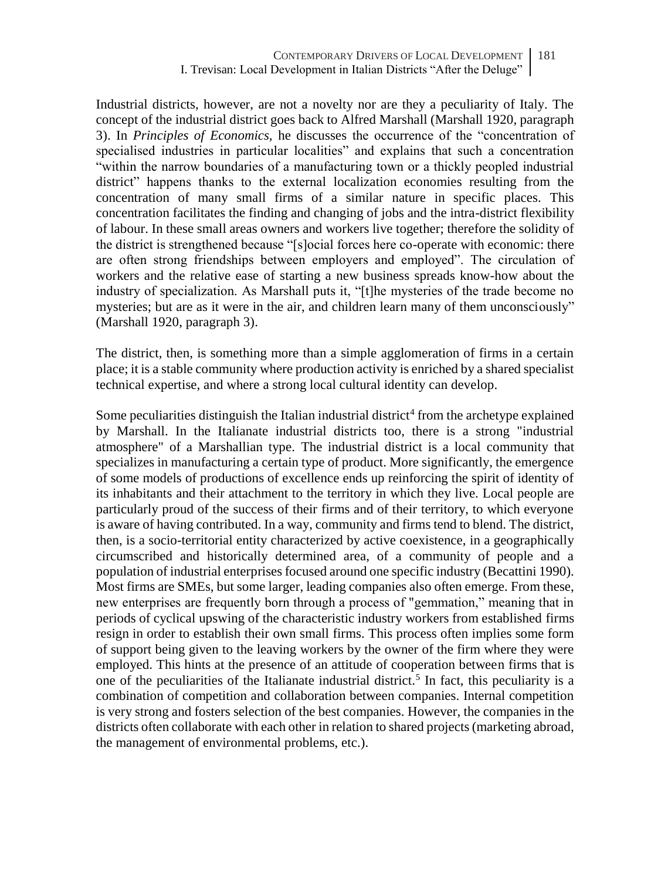Industrial districts, however, are not a novelty nor are they a peculiarity of Italy. The concept of the industrial district goes back to Alfred Marshall (Marshall 1920, paragraph 3). In *Principles of Economics,* he discusses the occurrence of the "concentration of specialised industries in particular localities" and explains that such a concentration "within the narrow boundaries of a manufacturing town or a thickly peopled industrial district" happens thanks to the external localization economies resulting from the concentration of many small firms of a similar nature in specific places. This concentration facilitates the finding and changing of jobs and the intra-district flexibility of labour. In these small areas owners and workers live together; therefore the solidity of the district is strengthened because "[s]ocial forces here co-operate with economic: there are often strong friendships between employers and employed". The circulation of workers and the relative ease of starting a new business spreads know-how about the industry of specialization. As Marshall puts it, "[t]he mysteries of the trade become no mysteries; but are as it were in the air, and children learn many of them unconsciously" (Marshall 1920, paragraph 3).

The district, then, is something more than a simple agglomeration of firms in a certain place; it is a stable community where production activity is enriched by a shared specialist technical expertise, and where a strong local cultural identity can develop.

Some peculiarities distinguish the Italian industrial district<sup>4</sup> from the archetype explained by Marshall. In the Italianate industrial districts too, there is a strong "industrial atmosphere" of a Marshallian type. The industrial district is a local community that specializes in manufacturing a certain type of product. More significantly, the emergence of some models of productions of excellence ends up reinforcing the spirit of identity of its inhabitants and their attachment to the territory in which they live. Local people are particularly proud of the success of their firms and of their territory, to which everyone is aware of having contributed. In a way, community and firms tend to blend. The district, then, is a socio-territorial entity characterized by active coexistence, in a geographically circumscribed and historically determined area, of a community of people and a population of industrial enterprises focused around one specific industry (Becattini 1990). Most firms are SMEs, but some larger, leading companies also often emerge. From these, new enterprises are frequently born through a process of "gemmation," meaning that in periods of cyclical upswing of the characteristic industry workers from established firms resign in order to establish their own small firms. This process often implies some form of support being given to the leaving workers by the owner of the firm where they were employed. This hints at the presence of an attitude of cooperation between firms that is one of the peculiarities of the Italianate industrial district.<sup>5</sup> In fact, this peculiarity is a combination of competition and collaboration between companies. Internal competition is very strong and fosters selection of the best companies. However, the companies in the districts often collaborate with each other in relation to shared projects (marketing abroad, the management of environmental problems, etc.).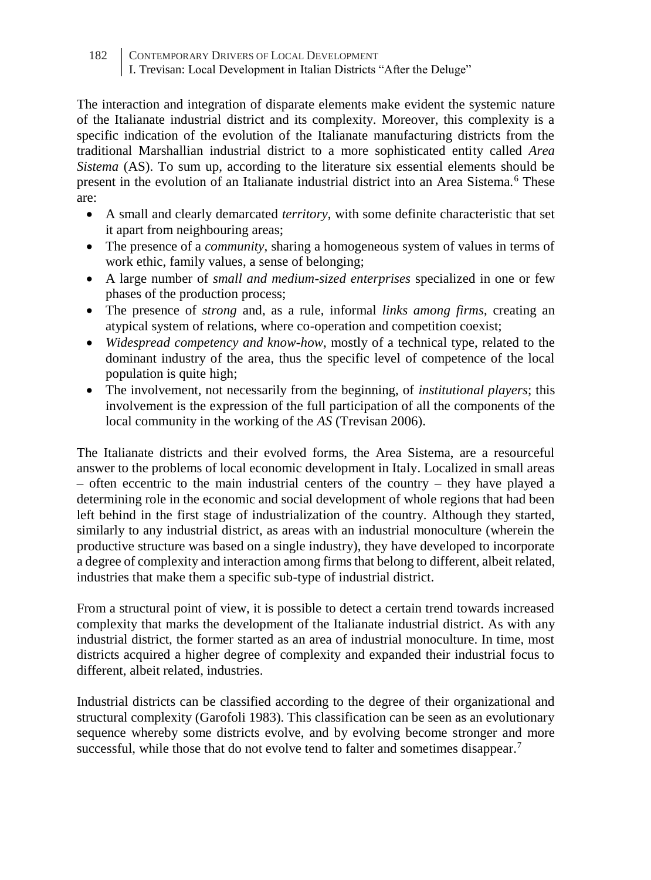The interaction and integration of disparate elements make evident the systemic nature of the Italianate industrial district and its complexity. Moreover, this complexity is a specific indication of the evolution of the Italianate manufacturing districts from the traditional Marshallian industrial district to a more sophisticated entity called *Area Sistema* (AS). To sum up, according to the literature six essential elements should be present in the evolution of an Italianate industrial district into an Area Sistema.<sup>6</sup> These are:

- A small and clearly demarcated *territory*, with some definite characteristic that set it apart from neighbouring areas;
- The presence of a *community*, sharing a homogeneous system of values in terms of work ethic, family values, a sense of belonging;
- A large number of *small and medium-sized enterprises* specialized in one or few phases of the production process;
- The presence of *strong* and, as a rule, informal *links among firms*, creating an atypical system of relations, where co-operation and competition coexist;
- *Widespread competency and know-how*, mostly of a technical type, related to the dominant industry of the area, thus the specific level of competence of the local population is quite high;
- The involvement, not necessarily from the beginning, of *institutional players*; this involvement is the expression of the full participation of all the components of the local community in the working of the *AS* (Trevisan 2006).

The Italianate districts and their evolved forms, the Area Sistema, are a resourceful answer to the problems of local economic development in Italy. Localized in small areas  $-$  often eccentric to the main industrial centers of the country  $-$  they have played a determining role in the economic and social development of whole regions that had been left behind in the first stage of industrialization of the country. Although they started, similarly to any industrial district, as areas with an industrial monoculture (wherein the productive structure was based on a single industry), they have developed to incorporate a degree of complexity and interaction among firms that belong to different, albeit related, industries that make them a specific sub-type of industrial district.

From a structural point of view, it is possible to detect a certain trend towards increased complexity that marks the development of the Italianate industrial district. As with any industrial district, the former started as an area of industrial monoculture. In time, most districts acquired a higher degree of complexity and expanded their industrial focus to different, albeit related, industries.

Industrial districts can be classified according to the degree of their organizational and structural complexity (Garofoli 1983). This classification can be seen as an evolutionary sequence whereby some districts evolve, and by evolving become stronger and more successful, while those that do not evolve tend to falter and sometimes disappear.<sup>7</sup>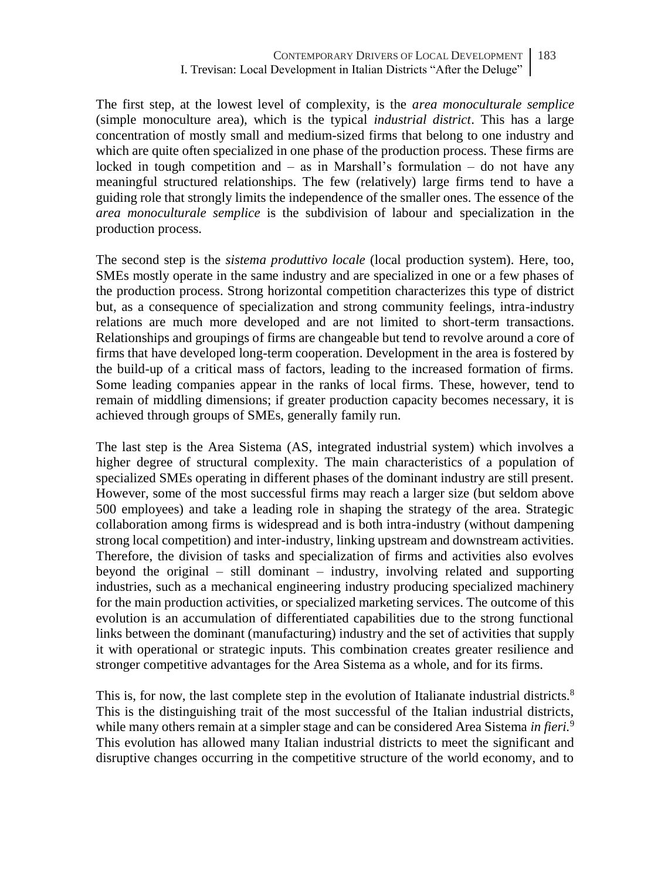The first step, at the lowest level of complexity, is the *area monoculturale semplice*  (simple monoculture area), which is the typical *industrial district*. This has a large concentration of mostly small and medium-sized firms that belong to one industry and which are quite often specialized in one phase of the production process. These firms are locked in tough competition and  $-$  as in Marshall's formulation  $-$  do not have any meaningful structured relationships. The few (relatively) large firms tend to have a guiding role that strongly limits the independence of the smaller ones. The essence of the *area monoculturale semplice* is the subdivision of labour and specialization in the production process.

The second step is the *sistema produttivo locale* (local production system). Here, too, SMEs mostly operate in the same industry and are specialized in one or a few phases of the production process. Strong horizontal competition characterizes this type of district but, as a consequence of specialization and strong community feelings, intra-industry relations are much more developed and are not limited to short-term transactions. Relationships and groupings of firms are changeable but tend to revolve around a core of firms that have developed long-term cooperation. Development in the area is fostered by the build-up of a critical mass of factors, leading to the increased formation of firms. Some leading companies appear in the ranks of local firms. These, however, tend to remain of middling dimensions; if greater production capacity becomes necessary, it is achieved through groups of SMEs, generally family run.

The last step is the Area Sistema (AS, integrated industrial system) which involves a higher degree of structural complexity. The main characteristics of a population of specialized SMEs operating in different phases of the dominant industry are still present. However, some of the most successful firms may reach a larger size (but seldom above 500 employees) and take a leading role in shaping the strategy of the area. Strategic collaboration among firms is widespread and is both intra-industry (without dampening strong local competition) and inter-industry, linking upstream and downstream activities. Therefore, the division of tasks and specialization of firms and activities also evolves beyond the original – still dominant – industry, involving related and supporting industries, such as a mechanical engineering industry producing specialized machinery for the main production activities, or specialized marketing services. The outcome of this evolution is an accumulation of differentiated capabilities due to the strong functional links between the dominant (manufacturing) industry and the set of activities that supply it with operational or strategic inputs. This combination creates greater resilience and stronger competitive advantages for the Area Sistema as a whole, and for its firms.

This is, for now, the last complete step in the evolution of Italianate industrial districts.<sup>8</sup> This is the distinguishing trait of the most successful of the Italian industrial districts, while many others remain at a simpler stage and can be considered Area Sistema *in fieri.*<sup>9</sup> This evolution has allowed many Italian industrial districts to meet the significant and disruptive changes occurring in the competitive structure of the world economy, and to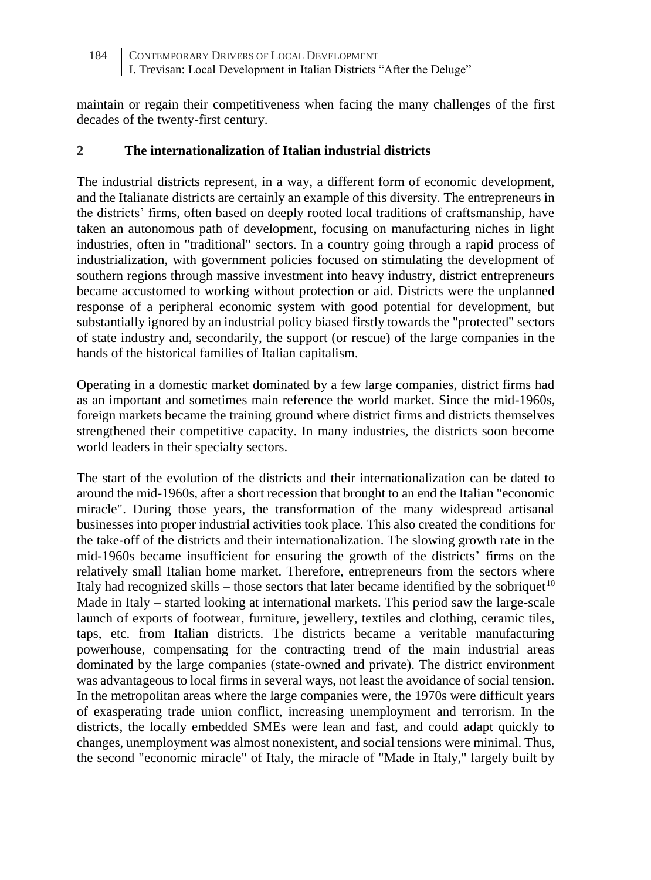maintain or regain their competitiveness when facing the many challenges of the first decades of the twenty-first century.

## **2 The internationalization of Italian industrial districts**

The industrial districts represent, in a way, a different form of economic development, and the Italianate districts are certainly an example of this diversity. The entrepreneurs in the districts' firms, often based on deeply rooted local traditions of craftsmanship, have taken an autonomous path of development, focusing on manufacturing niches in light industries, often in "traditional" sectors. In a country going through a rapid process of industrialization, with government policies focused on stimulating the development of southern regions through massive investment into heavy industry, district entrepreneurs became accustomed to working without protection or aid. Districts were the unplanned response of a peripheral economic system with good potential for development, but substantially ignored by an industrial policy biased firstly towards the "protected" sectors of state industry and, secondarily, the support (or rescue) of the large companies in the hands of the historical families of Italian capitalism.

Operating in a domestic market dominated by a few large companies, district firms had as an important and sometimes main reference the world market. Since the mid-1960s, foreign markets became the training ground where district firms and districts themselves strengthened their competitive capacity. In many industries, the districts soon become world leaders in their specialty sectors.

The start of the evolution of the districts and their internationalization can be dated to around the mid-1960s, after a short recession that brought to an end the Italian "economic miracle". During those years, the transformation of the many widespread artisanal businesses into proper industrial activities took place. This also created the conditions for the take-off of the districts and their internationalization. The slowing growth rate in the mid-1960s became insufficient for ensuring the growth of the districts' firms on the relatively small Italian home market. Therefore, entrepreneurs from the sectors where Italy had recognized skills – those sectors that later became identified by the sobriquet<sup>10</sup> Made in Italy – started looking at international markets. This period saw the large-scale launch of exports of footwear, furniture, jewellery, textiles and clothing, ceramic tiles, taps, etc. from Italian districts. The districts became a veritable manufacturing powerhouse, compensating for the contracting trend of the main industrial areas dominated by the large companies (state-owned and private). The district environment was advantageous to local firms in several ways, not least the avoidance of social tension. In the metropolitan areas where the large companies were, the 1970s were difficult years of exasperating trade union conflict, increasing unemployment and terrorism. In the districts, the locally embedded SMEs were lean and fast, and could adapt quickly to changes, unemployment was almost nonexistent, and social tensions were minimal. Thus, the second "economic miracle" of Italy, the miracle of "Made in Italy," largely built by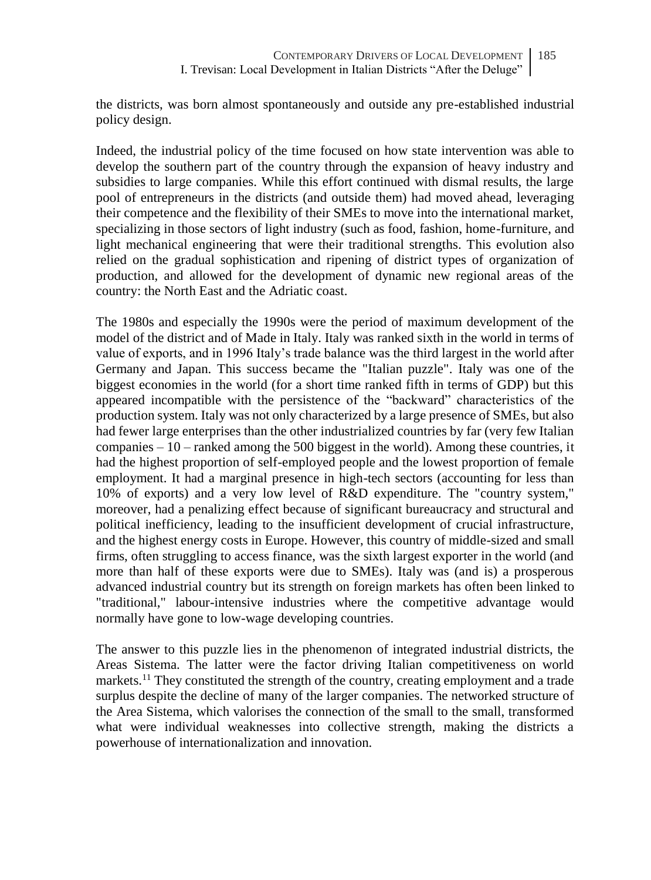the districts, was born almost spontaneously and outside any pre-established industrial policy design.

Indeed, the industrial policy of the time focused on how state intervention was able to develop the southern part of the country through the expansion of heavy industry and subsidies to large companies. While this effort continued with dismal results, the large pool of entrepreneurs in the districts (and outside them) had moved ahead, leveraging their competence and the flexibility of their SMEs to move into the international market, specializing in those sectors of light industry (such as food, fashion, home-furniture, and light mechanical engineering that were their traditional strengths. This evolution also relied on the gradual sophistication and ripening of district types of organization of production, and allowed for the development of dynamic new regional areas of the country: the North East and the Adriatic coast.

The 1980s and especially the 1990s were the period of maximum development of the model of the district and of Made in Italy. Italy was ranked sixth in the world in terms of value of exports, and in 1996 Italy's trade balance was the third largest in the world after Germany and Japan. This success became the "Italian puzzle". Italy was one of the biggest economies in the world (for a short time ranked fifth in terms of GDP) but this appeared incompatible with the persistence of the "backward" characteristics of the production system. Italy was not only characterized by a large presence of SMEs, but also had fewer large enterprises than the other industrialized countries by far (very few Italian companies  $-10$  – ranked among the 500 biggest in the world). Among these countries, it had the highest proportion of self-employed people and the lowest proportion of female employment. It had a marginal presence in high-tech sectors (accounting for less than 10% of exports) and a very low level of R&D expenditure. The "country system," moreover, had a penalizing effect because of significant bureaucracy and structural and political inefficiency, leading to the insufficient development of crucial infrastructure, and the highest energy costs in Europe. However, this country of middle-sized and small firms, often struggling to access finance, was the sixth largest exporter in the world (and more than half of these exports were due to SMEs). Italy was (and is) a prosperous advanced industrial country but its strength on foreign markets has often been linked to "traditional," labour-intensive industries where the competitive advantage would normally have gone to low-wage developing countries.

The answer to this puzzle lies in the phenomenon of integrated industrial districts, the Areas Sistema. The latter were the factor driving Italian competitiveness on world markets.<sup>11</sup> They constituted the strength of the country, creating employment and a trade surplus despite the decline of many of the larger companies. The networked structure of the Area Sistema, which valorises the connection of the small to the small, transformed what were individual weaknesses into collective strength, making the districts a powerhouse of internationalization and innovation.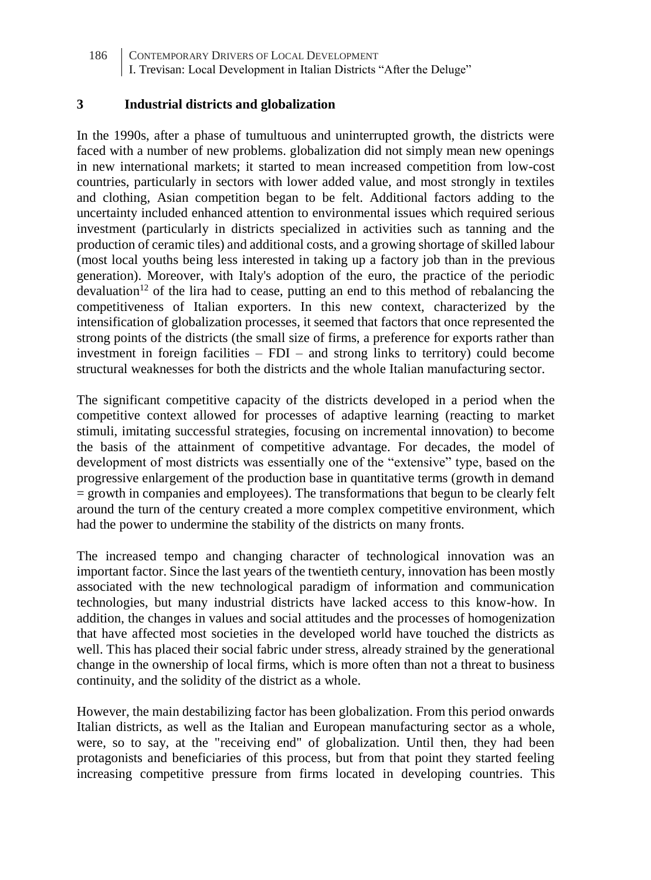#### **3 Industrial districts and globalization**

In the 1990s, after a phase of tumultuous and uninterrupted growth, the districts were faced with a number of new problems. globalization did not simply mean new openings in new international markets; it started to mean increased competition from low-cost countries, particularly in sectors with lower added value, and most strongly in textiles and clothing, Asian competition began to be felt. Additional factors adding to the uncertainty included enhanced attention to environmental issues which required serious investment (particularly in districts specialized in activities such as tanning and the production of ceramic tiles) and additional costs, and a growing shortage of skilled labour (most local youths being less interested in taking up a factory job than in the previous generation). Moreover, with Italy's adoption of the euro, the practice of the periodic devaluation<sup>12</sup> of the lira had to cease, putting an end to this method of rebalancing the competitiveness of Italian exporters. In this new context, characterized by the intensification of globalization processes, it seemed that factors that once represented the strong points of the districts (the small size of firms, a preference for exports rather than investment in foreign facilities  $-$  FDI  $-$  and strong links to territory) could become structural weaknesses for both the districts and the whole Italian manufacturing sector.

The significant competitive capacity of the districts developed in a period when the competitive context allowed for processes of adaptive learning (reacting to market stimuli, imitating successful strategies, focusing on incremental innovation) to become the basis of the attainment of competitive advantage. For decades, the model of development of most districts was essentially one of the "extensive" type, based on the progressive enlargement of the production base in quantitative terms (growth in demand = growth in companies and employees). The transformations that begun to be clearly felt around the turn of the century created a more complex competitive environment, which had the power to undermine the stability of the districts on many fronts.

The increased tempo and changing character of technological innovation was an important factor. Since the last years of the twentieth century, innovation has been mostly associated with the new technological paradigm of information and communication technologies, but many industrial districts have lacked access to this know-how. In addition, the changes in values and social attitudes and the processes of homogenization that have affected most societies in the developed world have touched the districts as well. This has placed their social fabric under stress, already strained by the generational change in the ownership of local firms, which is more often than not a threat to business continuity, and the solidity of the district as a whole.

However, the main destabilizing factor has been globalization. From this period onwards Italian districts, as well as the Italian and European manufacturing sector as a whole, were, so to say, at the "receiving end" of globalization. Until then, they had been protagonists and beneficiaries of this process, but from that point they started feeling increasing competitive pressure from firms located in developing countries. This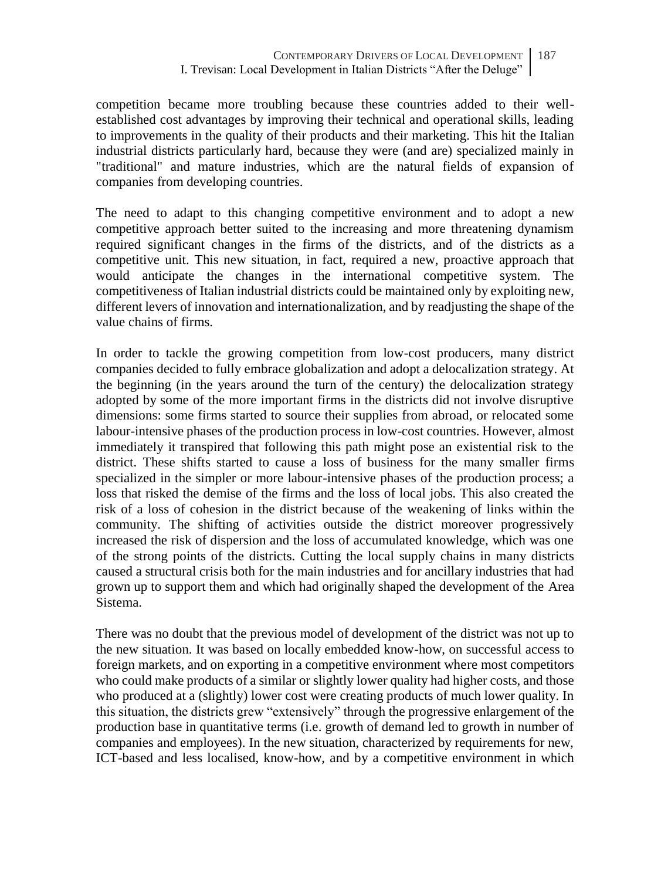competition became more troubling because these countries added to their wellestablished cost advantages by improving their technical and operational skills, leading to improvements in the quality of their products and their marketing. This hit the Italian industrial districts particularly hard, because they were (and are) specialized mainly in "traditional" and mature industries, which are the natural fields of expansion of companies from developing countries.

The need to adapt to this changing competitive environment and to adopt a new competitive approach better suited to the increasing and more threatening dynamism required significant changes in the firms of the districts, and of the districts as a competitive unit. This new situation, in fact, required a new, proactive approach that would anticipate the changes in the international competitive system. The competitiveness of Italian industrial districts could be maintained only by exploiting new, different levers of innovation and internationalization, and by readjusting the shape of the value chains of firms.

In order to tackle the growing competition from low-cost producers, many district companies decided to fully embrace globalization and adopt a delocalization strategy. At the beginning (in the years around the turn of the century) the delocalization strategy adopted by some of the more important firms in the districts did not involve disruptive dimensions: some firms started to source their supplies from abroad, or relocated some labour-intensive phases of the production process in low-cost countries. However, almost immediately it transpired that following this path might pose an existential risk to the district. These shifts started to cause a loss of business for the many smaller firms specialized in the simpler or more labour-intensive phases of the production process; a loss that risked the demise of the firms and the loss of local jobs. This also created the risk of a loss of cohesion in the district because of the weakening of links within the community. The shifting of activities outside the district moreover progressively increased the risk of dispersion and the loss of accumulated knowledge, which was one of the strong points of the districts. Cutting the local supply chains in many districts caused a structural crisis both for the main industries and for ancillary industries that had grown up to support them and which had originally shaped the development of the Area Sistema.

There was no doubt that the previous model of development of the district was not up to the new situation. It was based on locally embedded know-how, on successful access to foreign markets, and on exporting in a competitive environment where most competitors who could make products of a similar or slightly lower quality had higher costs, and those who produced at a (slightly) lower cost were creating products of much lower quality. In this situation, the districts grew "extensively" through the progressive enlargement of the production base in quantitative terms (i.e. growth of demand led to growth in number of companies and employees). In the new situation, characterized by requirements for new, ICT-based and less localised, know-how, and by a competitive environment in which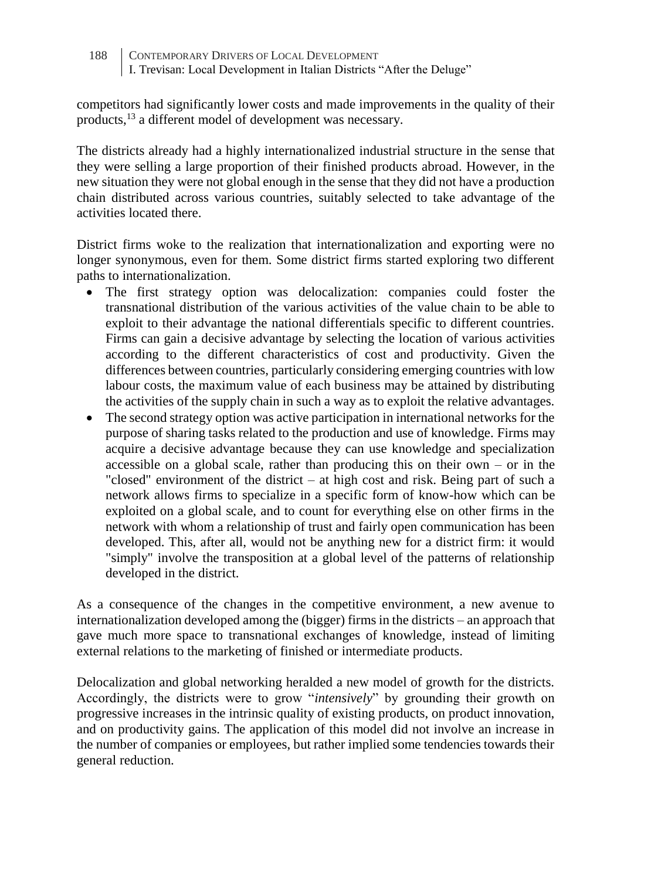competitors had significantly lower costs and made improvements in the quality of their products,<sup>13</sup> a different model of development was necessary.

The districts already had a highly internationalized industrial structure in the sense that they were selling a large proportion of their finished products abroad. However, in the new situation they were not global enough in the sense that they did not have a production chain distributed across various countries, suitably selected to take advantage of the activities located there.

District firms woke to the realization that internationalization and exporting were no longer synonymous, even for them. Some district firms started exploring two different paths to internationalization.

- The first strategy option was delocalization: companies could foster the transnational distribution of the various activities of the value chain to be able to exploit to their advantage the national differentials specific to different countries. Firms can gain a decisive advantage by selecting the location of various activities according to the different characteristics of cost and productivity. Given the differences between countries, particularly considering emerging countries with low labour costs, the maximum value of each business may be attained by distributing the activities of the supply chain in such a way as to exploit the relative advantages.
- The second strategy option was active participation in international networks for the purpose of sharing tasks related to the production and use of knowledge. Firms may acquire a decisive advantage because they can use knowledge and specialization accessible on a global scale, rather than producing this on their own – or in the "closed" environment of the district – at high cost and risk. Being part of such a network allows firms to specialize in a specific form of know-how which can be exploited on a global scale, and to count for everything else on other firms in the network with whom a relationship of trust and fairly open communication has been developed. This, after all, would not be anything new for a district firm: it would "simply" involve the transposition at a global level of the patterns of relationship developed in the district.

As a consequence of the changes in the competitive environment, a new avenue to internationalization developed among the (bigger) firms in the districts – an approach that gave much more space to transnational exchanges of knowledge, instead of limiting external relations to the marketing of finished or intermediate products.

Delocalization and global networking heralded a new model of growth for the districts. Accordingly, the districts were to grow "*intensively*" by grounding their growth on progressive increases in the intrinsic quality of existing products, on product innovation, and on productivity gains. The application of this model did not involve an increase in the number of companies or employees, but rather implied some tendencies towards their general reduction.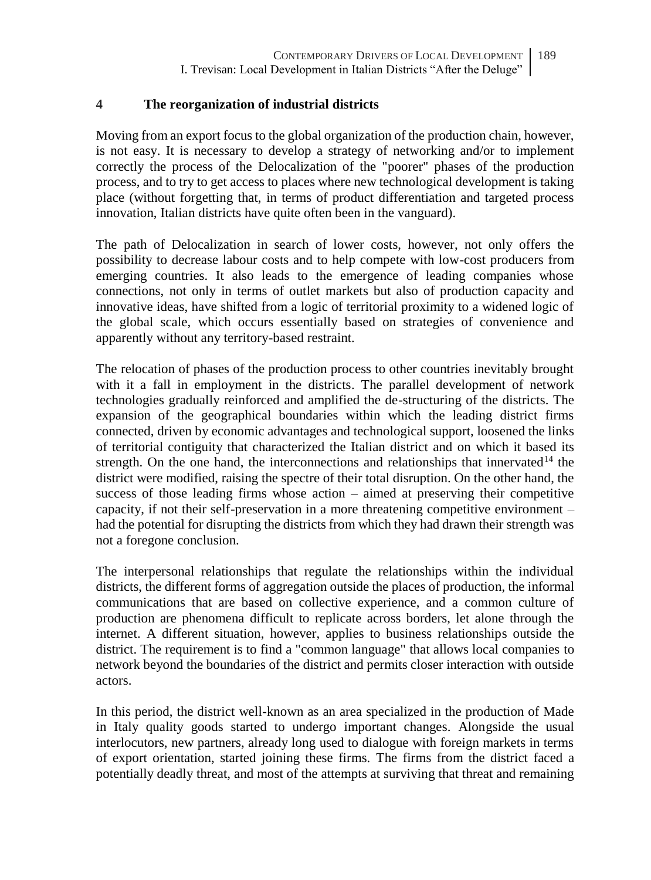#### **4 The reorganization of industrial districts**

Moving from an export focus to the global organization of the production chain, however, is not easy. It is necessary to develop a strategy of networking and/or to implement correctly the process of the Delocalization of the "poorer" phases of the production process, and to try to get access to places where new technological development is taking place (without forgetting that, in terms of product differentiation and targeted process innovation, Italian districts have quite often been in the vanguard).

The path of Delocalization in search of lower costs, however, not only offers the possibility to decrease labour costs and to help compete with low-cost producers from emerging countries. It also leads to the emergence of leading companies whose connections, not only in terms of outlet markets but also of production capacity and innovative ideas, have shifted from a logic of territorial proximity to a widened logic of the global scale, which occurs essentially based on strategies of convenience and apparently without any territory-based restraint.

The relocation of phases of the production process to other countries inevitably brought with it a fall in employment in the districts. The parallel development of network technologies gradually reinforced and amplified the de-structuring of the districts. The expansion of the geographical boundaries within which the leading district firms connected, driven by economic advantages and technological support, loosened the links of territorial contiguity that characterized the Italian district and on which it based its strength. On the one hand, the interconnections and relationships that innervated<sup>14</sup> the district were modified, raising the spectre of their total disruption. On the other hand, the success of those leading firms whose action – aimed at preserving their competitive capacity, if not their self-preservation in a more threatening competitive environment – had the potential for disrupting the districts from which they had drawn their strength was not a foregone conclusion.

The interpersonal relationships that regulate the relationships within the individual districts, the different forms of aggregation outside the places of production, the informal communications that are based on collective experience, and a common culture of production are phenomena difficult to replicate across borders, let alone through the internet. A different situation, however, applies to business relationships outside the district. The requirement is to find a "common language" that allows local companies to network beyond the boundaries of the district and permits closer interaction with outside actors.

In this period, the district well-known as an area specialized in the production of Made in Italy quality goods started to undergo important changes. Alongside the usual interlocutors, new partners, already long used to dialogue with foreign markets in terms of export orientation, started joining these firms. The firms from the district faced a potentially deadly threat, and most of the attempts at surviving that threat and remaining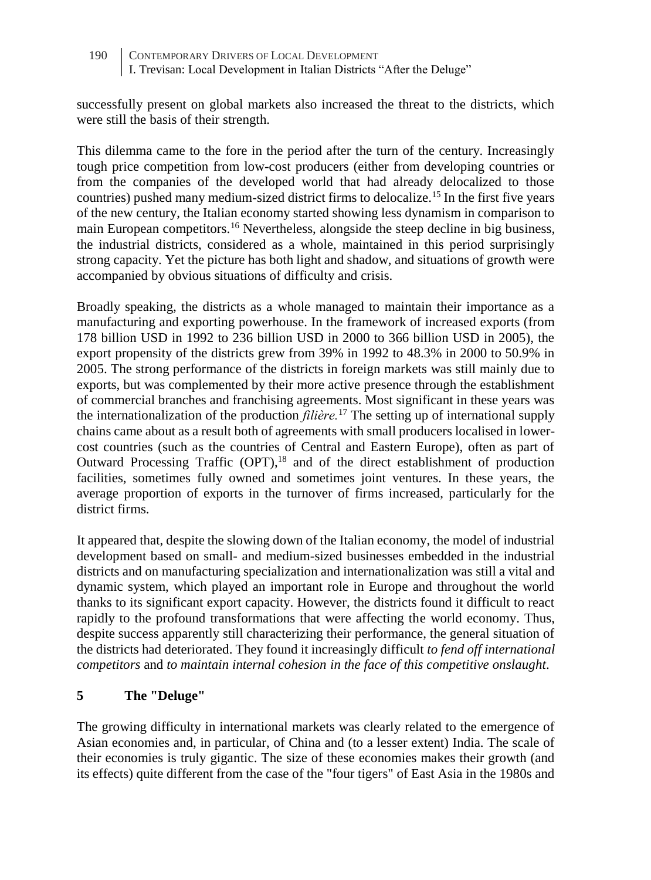successfully present on global markets also increased the threat to the districts, which were still the basis of their strength.

This dilemma came to the fore in the period after the turn of the century. Increasingly tough price competition from low-cost producers (either from developing countries or from the companies of the developed world that had already delocalized to those countries) pushed many medium-sized district firms to delocalize.<sup>15</sup> In the first five years of the new century, the Italian economy started showing less dynamism in comparison to main European competitors.<sup>16</sup> Nevertheless, alongside the steep decline in big business, the industrial districts, considered as a whole, maintained in this period surprisingly strong capacity. Yet the picture has both light and shadow, and situations of growth were accompanied by obvious situations of difficulty and crisis.

Broadly speaking, the districts as a whole managed to maintain their importance as a manufacturing and exporting powerhouse. In the framework of increased exports (from 178 billion USD in 1992 to 236 billion USD in 2000 to 366 billion USD in 2005), the export propensity of the districts grew from 39% in 1992 to 48.3% in 2000 to 50.9% in 2005. The strong performance of the districts in foreign markets was still mainly due to exports, but was complemented by their more active presence through the establishment of commercial branches and franchising agreements. Most significant in these years was the internationalization of the production *filière.*<sup>17</sup> The setting up of international supply chains came about as a result both of agreements with small producers localised in lowercost countries (such as the countries of Central and Eastern Europe), often as part of Outward Processing Traffic (OPT),<sup>18</sup> and of the direct establishment of production facilities, sometimes fully owned and sometimes joint ventures. In these years, the average proportion of exports in the turnover of firms increased, particularly for the district firms.

It appeared that, despite the slowing down of the Italian economy, the model of industrial development based on small- and medium-sized businesses embedded in the industrial districts and on manufacturing specialization and internationalization was still a vital and dynamic system, which played an important role in Europe and throughout the world thanks to its significant export capacity. However, the districts found it difficult to react rapidly to the profound transformations that were affecting the world economy. Thus, despite success apparently still characterizing their performance, the general situation of the districts had deteriorated. They found it increasingly difficult *to fend off international competitors* and *to maintain internal cohesion in the face of this competitive onslaught*.

# **5 The "Deluge"**

The growing difficulty in international markets was clearly related to the emergence of Asian economies and, in particular, of China and (to a lesser extent) India. The scale of their economies is truly gigantic. The size of these economies makes their growth (and its effects) quite different from the case of the "four tigers" of East Asia in the 1980s and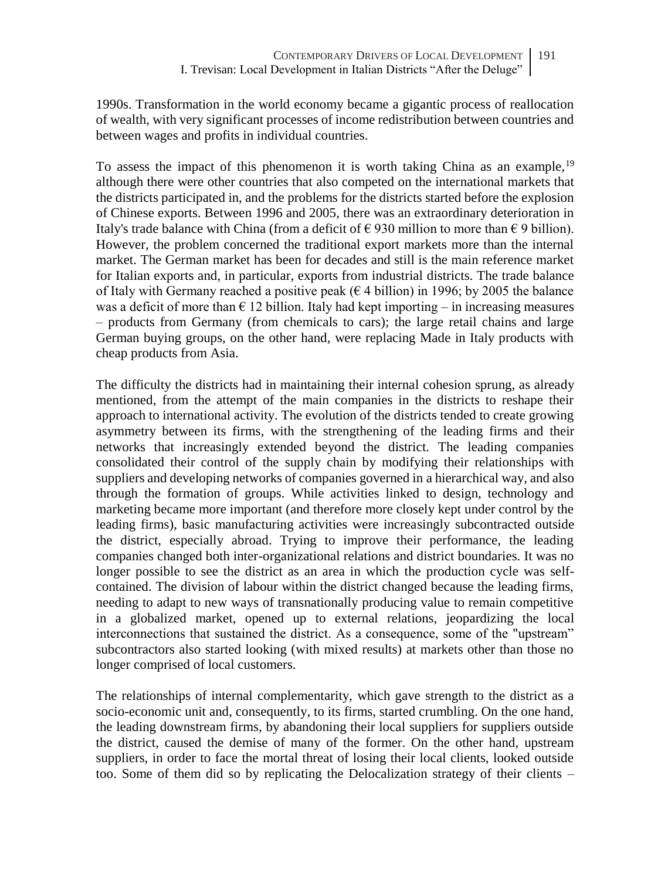1990s. Transformation in the world economy became a gigantic process of reallocation of wealth, with very significant processes of income redistribution between countries and between wages and profits in individual countries.

To assess the impact of this phenomenon it is worth taking China as an example,<sup>19</sup> although there were other countries that also competed on the international markets that the districts participated in, and the problems for the districts started before the explosion of Chinese exports. Between 1996 and 2005, there was an extraordinary deterioration in Italy's trade balance with China (from a deficit of  $\epsilon$  930 million to more than  $\epsilon$  9 billion). However, the problem concerned the traditional export markets more than the internal market. The German market has been for decades and still is the main reference market for Italian exports and, in particular, exports from industrial districts. The trade balance of Italy with Germany reached a positive peak ( $\epsilon$  4 billion) in 1996; by 2005 the balance was a deficit of more than  $\epsilon$  12 billion. Italy had kept importing – in increasing measures – products from Germany (from chemicals to cars); the large retail chains and large German buying groups, on the other hand, were replacing Made in Italy products with cheap products from Asia.

The difficulty the districts had in maintaining their internal cohesion sprung, as already mentioned, from the attempt of the main companies in the districts to reshape their approach to international activity. The evolution of the districts tended to create growing asymmetry between its firms, with the strengthening of the leading firms and their networks that increasingly extended beyond the district. The leading companies consolidated their control of the supply chain by modifying their relationships with suppliers and developing networks of companies governed in a hierarchical way, and also through the formation of groups. While activities linked to design, technology and marketing became more important (and therefore more closely kept under control by the leading firms), basic manufacturing activities were increasingly subcontracted outside the district, especially abroad. Trying to improve their performance, the leading companies changed both inter-organizational relations and district boundaries. It was no longer possible to see the district as an area in which the production cycle was selfcontained. The division of labour within the district changed because the leading firms, needing to adapt to new ways of transnationally producing value to remain competitive in a globalized market, opened up to external relations, jeopardizing the local interconnections that sustained the district. As a consequence, some of the "upstream" subcontractors also started looking (with mixed results) at markets other than those no longer comprised of local customers.

The relationships of internal complementarity, which gave strength to the district as a socio-economic unit and, consequently, to its firms, started crumbling. On the one hand, the leading downstream firms, by abandoning their local suppliers for suppliers outside the district, caused the demise of many of the former. On the other hand, upstream suppliers, in order to face the mortal threat of losing their local clients, looked outside too. Some of them did so by replicating the Delocalization strategy of their clients –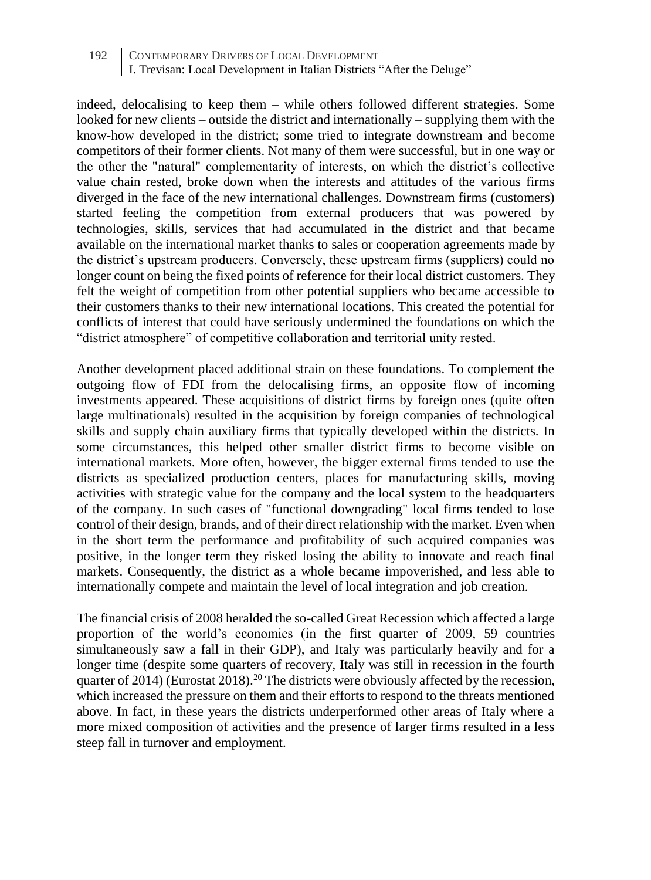indeed, delocalising to keep them – while others followed different strategies. Some looked for new clients – outside the district and internationally – supplying them with the know-how developed in the district; some tried to integrate downstream and become competitors of their former clients. Not many of them were successful, but in one way or the other the "natural" complementarity of interests, on which the district's collective value chain rested, broke down when the interests and attitudes of the various firms diverged in the face of the new international challenges. Downstream firms (customers) started feeling the competition from external producers that was powered by technologies, skills, services that had accumulated in the district and that became available on the international market thanks to sales or cooperation agreements made by the district's upstream producers. Conversely, these upstream firms (suppliers) could no longer count on being the fixed points of reference for their local district customers. They felt the weight of competition from other potential suppliers who became accessible to their customers thanks to their new international locations. This created the potential for conflicts of interest that could have seriously undermined the foundations on which the "district atmosphere" of competitive collaboration and territorial unity rested.

Another development placed additional strain on these foundations. To complement the outgoing flow of FDI from the delocalising firms, an opposite flow of incoming investments appeared. These acquisitions of district firms by foreign ones (quite often large multinationals) resulted in the acquisition by foreign companies of technological skills and supply chain auxiliary firms that typically developed within the districts. In some circumstances, this helped other smaller district firms to become visible on international markets. More often, however, the bigger external firms tended to use the districts as specialized production centers, places for manufacturing skills, moving activities with strategic value for the company and the local system to the headquarters of the company. In such cases of "functional downgrading" local firms tended to lose control of their design, brands, and of their direct relationship with the market. Even when in the short term the performance and profitability of such acquired companies was positive, in the longer term they risked losing the ability to innovate and reach final markets. Consequently, the district as a whole became impoverished, and less able to internationally compete and maintain the level of local integration and job creation.

The financial crisis of 2008 heralded the so-called Great Recession which affected a large proportion of the world's economies (in the first quarter of 2009, 59 countries simultaneously saw a fall in their GDP), and Italy was particularly heavily and for a longer time (despite some quarters of recovery, Italy was still in recession in the fourth quarter of 2014) (Eurostat 2018).<sup>20</sup> The districts were obviously affected by the recession, which increased the pressure on them and their efforts to respond to the threats mentioned above. In fact, in these years the districts underperformed other areas of Italy where a more mixed composition of activities and the presence of larger firms resulted in a less steep fall in turnover and employment.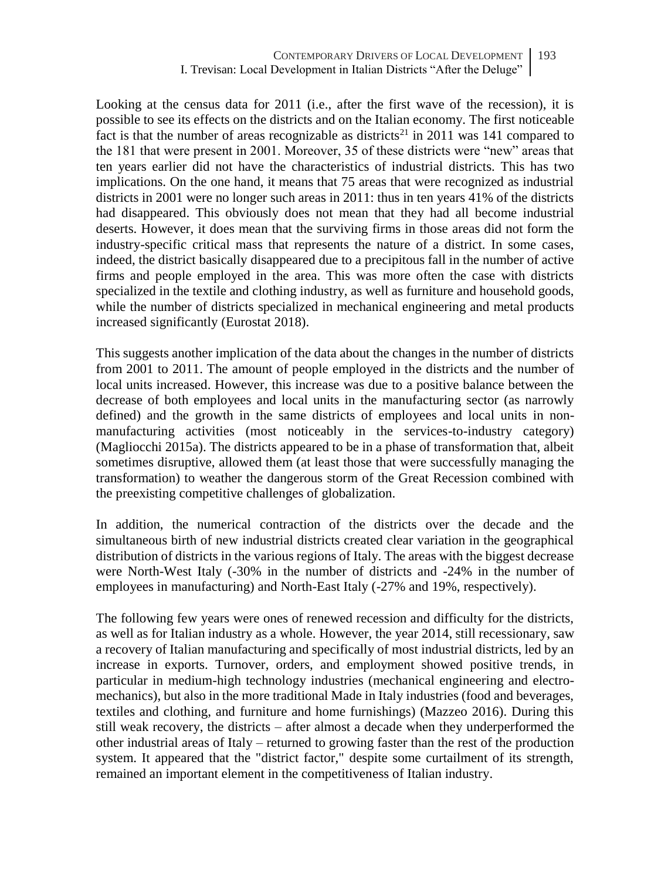Looking at the census data for 2011 (i.e., after the first wave of the recession), it is possible to see its effects on the districts and on the Italian economy. The first noticeable fact is that the number of areas recognizable as districts<sup>21</sup> in 2011 was 141 compared to the 181 that were present in 2001. Moreover, 35 of these districts were "new" areas that ten years earlier did not have the characteristics of industrial districts. This has two implications. On the one hand, it means that 75 areas that were recognized as industrial districts in 2001 were no longer such areas in 2011: thus in ten years 41% of the districts had disappeared. This obviously does not mean that they had all become industrial deserts. However, it does mean that the surviving firms in those areas did not form the industry-specific critical mass that represents the nature of a district. In some cases, indeed, the district basically disappeared due to a precipitous fall in the number of active firms and people employed in the area. This was more often the case with districts specialized in the textile and clothing industry, as well as furniture and household goods, while the number of districts specialized in mechanical engineering and metal products increased significantly (Eurostat 2018).

This suggests another implication of the data about the changes in the number of districts from 2001 to 2011. The amount of people employed in the districts and the number of local units increased. However, this increase was due to a positive balance between the decrease of both employees and local units in the manufacturing sector (as narrowly defined) and the growth in the same districts of employees and local units in nonmanufacturing activities (most noticeably in the services-to-industry category) (Magliocchi 2015a). The districts appeared to be in a phase of transformation that, albeit sometimes disruptive, allowed them (at least those that were successfully managing the transformation) to weather the dangerous storm of the Great Recession combined with the preexisting competitive challenges of globalization.

In addition, the numerical contraction of the districts over the decade and the simultaneous birth of new industrial districts created clear variation in the geographical distribution of districts in the various regions of Italy. The areas with the biggest decrease were North-West Italy (-30% in the number of districts and -24% in the number of employees in manufacturing) and North-East Italy (-27% and 19%, respectively).

The following few years were ones of renewed recession and difficulty for the districts, as well as for Italian industry as a whole. However, the year 2014, still recessionary, saw a recovery of Italian manufacturing and specifically of most industrial districts, led by an increase in exports. Turnover, orders, and employment showed positive trends, in particular in medium-high technology industries (mechanical engineering and electromechanics), but also in the more traditional Made in Italy industries (food and beverages, textiles and clothing, and furniture and home furnishings) (Mazzeo 2016). During this still weak recovery, the districts – after almost a decade when they underperformed the other industrial areas of Italy – returned to growing faster than the rest of the production system. It appeared that the "district factor," despite some curtailment of its strength, remained an important element in the competitiveness of Italian industry.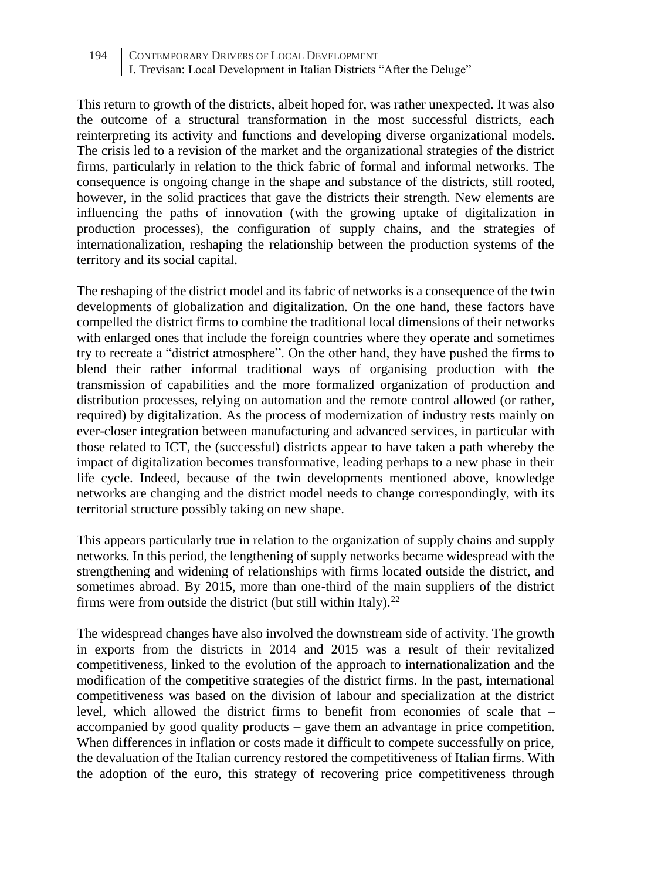This return to growth of the districts, albeit hoped for, was rather unexpected. It was also the outcome of a structural transformation in the most successful districts, each reinterpreting its activity and functions and developing diverse organizational models. The crisis led to a revision of the market and the organizational strategies of the district firms, particularly in relation to the thick fabric of formal and informal networks. The consequence is ongoing change in the shape and substance of the districts, still rooted, however, in the solid practices that gave the districts their strength. New elements are influencing the paths of innovation (with the growing uptake of digitalization in production processes), the configuration of supply chains, and the strategies of internationalization, reshaping the relationship between the production systems of the territory and its social capital.

The reshaping of the district model and its fabric of networks is a consequence of the twin developments of globalization and digitalization. On the one hand, these factors have compelled the district firms to combine the traditional local dimensions of their networks with enlarged ones that include the foreign countries where they operate and sometimes try to recreate a "district atmosphere". On the other hand, they have pushed the firms to blend their rather informal traditional ways of organising production with the transmission of capabilities and the more formalized organization of production and distribution processes, relying on automation and the remote control allowed (or rather, required) by digitalization. As the process of modernization of industry rests mainly on ever-closer integration between manufacturing and advanced services, in particular with those related to ICT, the (successful) districts appear to have taken a path whereby the impact of digitalization becomes transformative, leading perhaps to a new phase in their life cycle. Indeed, because of the twin developments mentioned above, knowledge networks are changing and the district model needs to change correspondingly, with its territorial structure possibly taking on new shape.

This appears particularly true in relation to the organization of supply chains and supply networks. In this period, the lengthening of supply networks became widespread with the strengthening and widening of relationships with firms located outside the district, and sometimes abroad. By 2015, more than one-third of the main suppliers of the district firms were from outside the district (but still within Italy). $^{22}$ 

The widespread changes have also involved the downstream side of activity. The growth in exports from the districts in 2014 and 2015 was a result of their revitalized competitiveness, linked to the evolution of the approach to internationalization and the modification of the competitive strategies of the district firms. In the past, international competitiveness was based on the division of labour and specialization at the district level, which allowed the district firms to benefit from economies of scale that – accompanied by good quality products – gave them an advantage in price competition. When differences in inflation or costs made it difficult to compete successfully on price, the devaluation of the Italian currency restored the competitiveness of Italian firms. With the adoption of the euro, this strategy of recovering price competitiveness through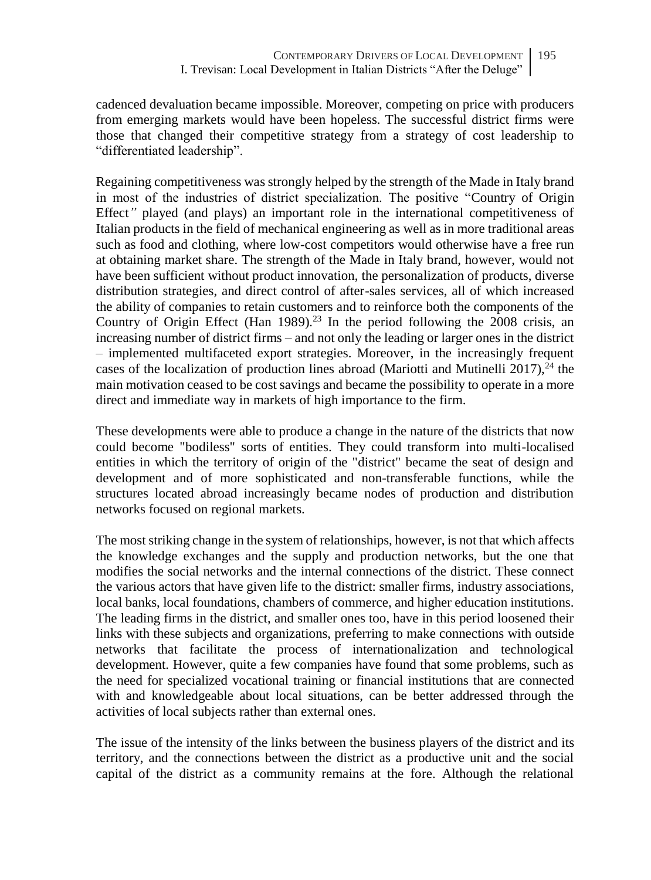cadenced devaluation became impossible. Moreover, competing on price with producers from emerging markets would have been hopeless. The successful district firms were those that changed their competitive strategy from a strategy of cost leadership to "differentiated leadership".

Regaining competitiveness was strongly helped by the strength of the Made in Italy brand in most of the industries of district specialization. The positive "Country of Origin Effect*"* played (and plays) an important role in the international competitiveness of Italian products in the field of mechanical engineering as well as in more traditional areas such as food and clothing, where low-cost competitors would otherwise have a free run at obtaining market share. The strength of the Made in Italy brand, however, would not have been sufficient without product innovation, the personalization of products, diverse distribution strategies, and direct control of after-sales services, all of which increased the ability of companies to retain customers and to reinforce both the components of the Country of Origin Effect (Han 1989)*.* <sup>23</sup> In the period following the 2008 crisis, an increasing number of district firms – and not only the leading or larger ones in the district – implemented multifaceted export strategies. Moreover, in the increasingly frequent cases of the localization of production lines abroad (Mariotti and Mutinelli 2017),  $^{24}$  the main motivation ceased to be cost savings and became the possibility to operate in a more direct and immediate way in markets of high importance to the firm.

These developments were able to produce a change in the nature of the districts that now could become "bodiless" sorts of entities. They could transform into multi-localised entities in which the territory of origin of the "district" became the seat of design and development and of more sophisticated and non-transferable functions, while the structures located abroad increasingly became nodes of production and distribution networks focused on regional markets.

The most striking change in the system of relationships, however, is not that which affects the knowledge exchanges and the supply and production networks, but the one that modifies the social networks and the internal connections of the district. These connect the various actors that have given life to the district: smaller firms, industry associations, local banks, local foundations, chambers of commerce, and higher education institutions. The leading firms in the district, and smaller ones too, have in this period loosened their links with these subjects and organizations, preferring to make connections with outside networks that facilitate the process of internationalization and technological development. However, quite a few companies have found that some problems, such as the need for specialized vocational training or financial institutions that are connected with and knowledgeable about local situations, can be better addressed through the activities of local subjects rather than external ones.

The issue of the intensity of the links between the business players of the district and its territory, and the connections between the district as a productive unit and the social capital of the district as a community remains at the fore. Although the relational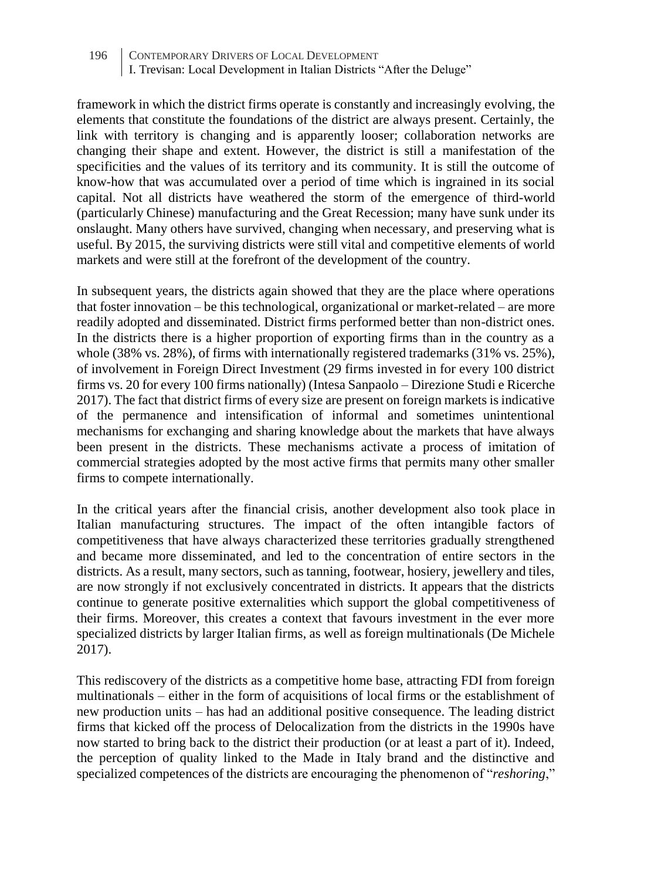framework in which the district firms operate is constantly and increasingly evolving, the elements that constitute the foundations of the district are always present. Certainly, the link with territory is changing and is apparently looser; collaboration networks are changing their shape and extent. However, the district is still a manifestation of the specificities and the values of its territory and its community. It is still the outcome of know-how that was accumulated over a period of time which is ingrained in its social capital. Not all districts have weathered the storm of the emergence of third-world (particularly Chinese) manufacturing and the Great Recession; many have sunk under its onslaught. Many others have survived, changing when necessary, and preserving what is useful. By 2015, the surviving districts were still vital and competitive elements of world markets and were still at the forefront of the development of the country.

In subsequent years, the districts again showed that they are the place where operations that foster innovation – be this technological, organizational or market-related – are more readily adopted and disseminated. District firms performed better than non-district ones. In the districts there is a higher proportion of exporting firms than in the country as a whole (38% vs. 28%), of firms with internationally registered trademarks (31% vs. 25%), of involvement in Foreign Direct Investment (29 firms invested in for every 100 district firms vs. 20 for every 100 firms nationally) (Intesa Sanpaolo – Direzione Studi e Ricerche 2017). The fact that district firms of every size are present on foreign markets is indicative of the permanence and intensification of informal and sometimes unintentional mechanisms for exchanging and sharing knowledge about the markets that have always been present in the districts. These mechanisms activate a process of imitation of commercial strategies adopted by the most active firms that permits many other smaller firms to compete internationally.

In the critical years after the financial crisis, another development also took place in Italian manufacturing structures. The impact of the often intangible factors of competitiveness that have always characterized these territories gradually strengthened and became more disseminated, and led to the concentration of entire sectors in the districts. As a result, many sectors, such as tanning, footwear, hosiery, jewellery and tiles, are now strongly if not exclusively concentrated in districts. It appears that the districts continue to generate positive externalities which support the global competitiveness of their firms. Moreover, this creates a context that favours investment in the ever more specialized districts by larger Italian firms, as well as foreign multinationals (De Michele 2017).

This rediscovery of the districts as a competitive home base, attracting FDI from foreign multinationals – either in the form of acquisitions of local firms or the establishment of new production units – has had an additional positive consequence. The leading district firms that kicked off the process of Delocalization from the districts in the 1990s have now started to bring back to the district their production (or at least a part of it). Indeed, the perception of quality linked to the Made in Italy brand and the distinctive and specialized competences of the districts are encouraging the phenomenon of "*reshoring*,"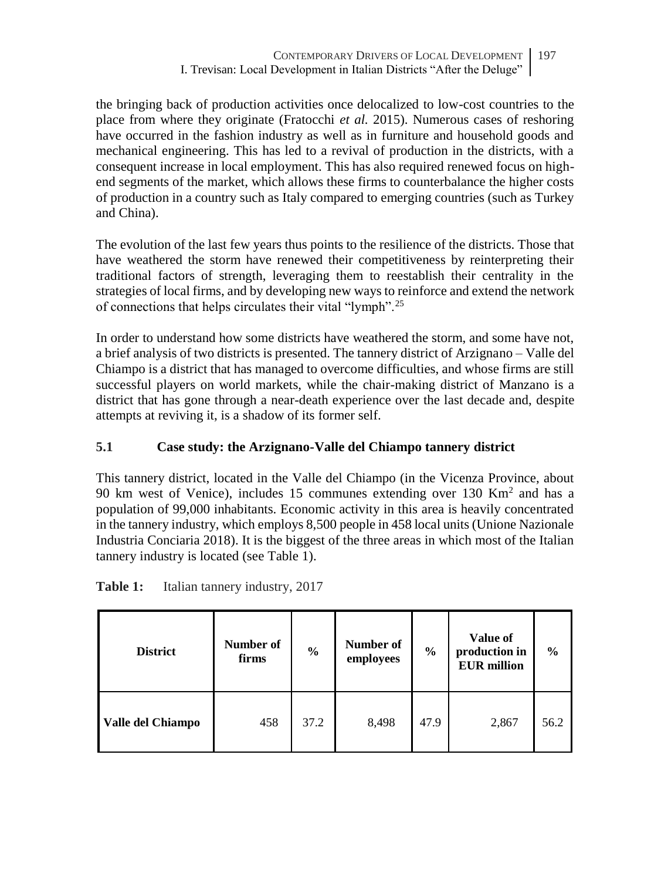the bringing back of production activities once delocalized to low-cost countries to the place from where they originate (Fratocchi *et al.* 2015). Numerous cases of reshoring have occurred in the fashion industry as well as in furniture and household goods and mechanical engineering. This has led to a revival of production in the districts, with a consequent increase in local employment. This has also required renewed focus on highend segments of the market, which allows these firms to counterbalance the higher costs of production in a country such as Italy compared to emerging countries (such as Turkey and China).

The evolution of the last few years thus points to the resilience of the districts. Those that have weathered the storm have renewed their competitiveness by reinterpreting their traditional factors of strength, leveraging them to reestablish their centrality in the strategies of local firms, and by developing new ways to reinforce and extend the network of connections that helps circulates their vital "lymph".<sup>25</sup>

In order to understand how some districts have weathered the storm, and some have not, a brief analysis of two districts is presented. The tannery district of Arzignano – Valle del Chiampo is a district that has managed to overcome difficulties, and whose firms are still successful players on world markets, while the chair-making district of Manzano is a district that has gone through a near-death experience over the last decade and, despite attempts at reviving it, is a shadow of its former self.

# **5.1 Case study: the Arzignano-Valle del Chiampo tannery district**

This tannery district, located in the Valle del Chiampo (in the Vicenza Province, about 90 km west of Venice), includes 15 communes extending over 130 Km<sup>2</sup> and has a population of 99,000 inhabitants. Economic activity in this area is heavily concentrated in the tannery industry, which employs 8,500 people in 458 local units (Unione Nazionale Industria Conciaria 2018). It is the biggest of the three areas in which most of the Italian tannery industry is located (see Table 1).

| <b>District</b>   | Number of<br>firms | $\frac{0}{0}$ | Number of<br>employees | $\frac{6}{9}$ | Value of<br>production in<br><b>EUR</b> million | $\frac{0}{0}$ |
|-------------------|--------------------|---------------|------------------------|---------------|-------------------------------------------------|---------------|
| Valle del Chiampo | 458                | 37.2          | 8,498                  | 47.9          | 2,867                                           | 56.2          |

Table 1: Italian tannery industry, 2017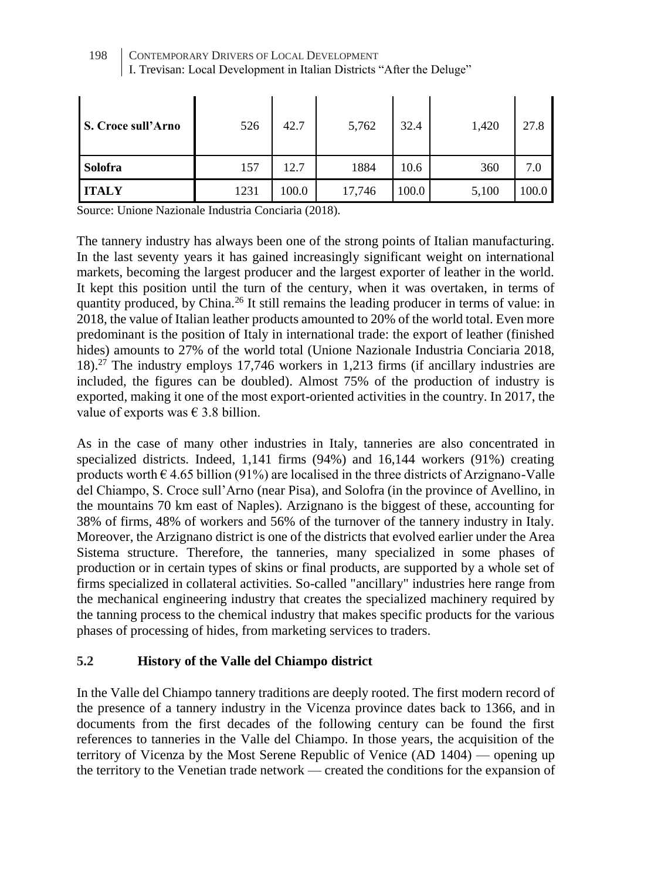| <b>S. Croce sull'Arno</b> | 526  | 42.7  | 5,762  | 32.4  | 1,420 | 27.8  |
|---------------------------|------|-------|--------|-------|-------|-------|
| Solofra                   | 157  | 12.7  | 1884   | 10.6  | 360   | 7.0   |
| <b>ITALY</b>              | 1231 | 100.0 | 17,746 | 100.0 | 5,100 | 100.0 |

198 CONTEMPORARY DRIVERS OF LOCAL DEVELOPMENT I. Trevisan: Local Development in Italian Districts "After the Deluge"

Source: Unione Nazionale Industria Conciaria (2018).

The tannery industry has always been one of the strong points of Italian manufacturing. In the last seventy years it has gained increasingly significant weight on international markets, becoming the largest producer and the largest exporter of leather in the world. It kept this position until the turn of the century, when it was overtaken, in terms of quantity produced, by China.<sup>26</sup> It still remains the leading producer in terms of value: in 2018, the value of Italian leather products amounted to 20% of the world total. Even more predominant is the position of Italy in international trade: the export of leather (finished hides) amounts to 27% of the world total (Unione Nazionale Industria Conciaria 2018, 18).<sup>27</sup> The industry employs 17,746 workers in 1,213 firms (if ancillary industries are included, the figures can be doubled). Almost 75% of the production of industry is exported, making it one of the most export-oriented activities in the country. In 2017, the value of exports was  $\epsilon$  3.8 billion.

As in the case of many other industries in Italy, tanneries are also concentrated in specialized districts. Indeed, 1,141 firms (94%) and 16,144 workers (91%) creating products worth  $\epsilon$  4.65 billion (91%) are localised in the three districts of Arzignano-Valle del Chiampo, S. Croce sull'Arno (near Pisa), and Solofra (in the province of Avellino, in the mountains 70 km east of Naples). Arzignano is the biggest of these, accounting for 38% of firms, 48% of workers and 56% of the turnover of the tannery industry in Italy. Moreover, the Arzignano district is one of the districts that evolved earlier under the Area Sistema structure. Therefore, the tanneries, many specialized in some phases of production or in certain types of skins or final products, are supported by a whole set of firms specialized in collateral activities. So-called "ancillary" industries here range from the mechanical engineering industry that creates the specialized machinery required by the tanning process to the chemical industry that makes specific products for the various phases of processing of hides, from marketing services to traders.

# **5.2 History of the Valle del Chiampo district**

In the Valle del Chiampo tannery traditions are deeply rooted. The first modern record of the presence of a tannery industry in the Vicenza province dates back to 1366, and in documents from the first decades of the following century can be found the first references to tanneries in the Valle del Chiampo. In those years, the acquisition of the territory of Vicenza by the Most Serene Republic of Venice (AD 1404) — opening up the territory to the Venetian trade network — created the conditions for the expansion of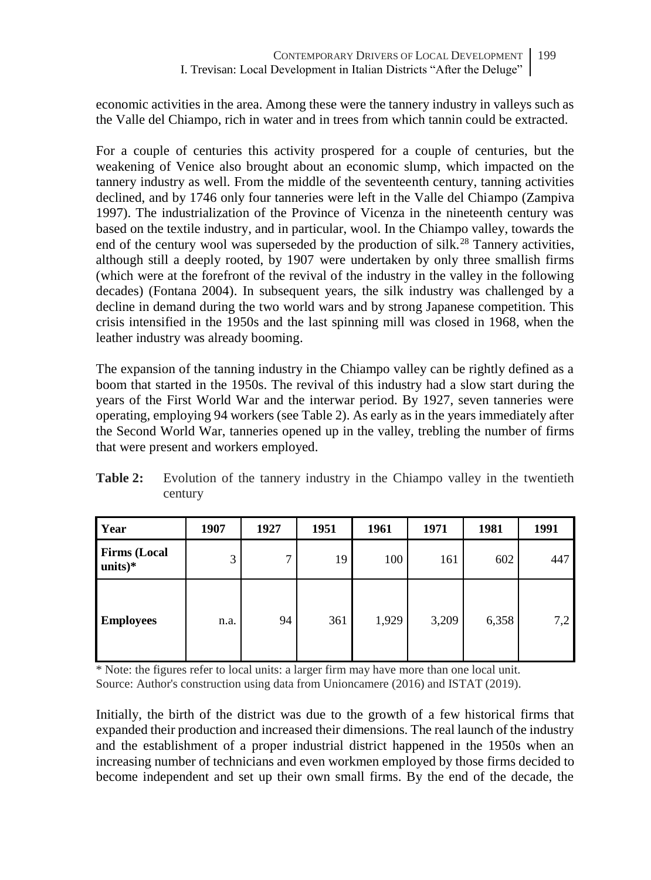economic activities in the area. Among these were the tannery industry in valleys such as the Valle del Chiampo, rich in water and in trees from which tannin could be extracted.

For a couple of centuries this activity prospered for a couple of centuries, but the weakening of Venice also brought about an economic slump, which impacted on the tannery industry as well. From the middle of the seventeenth century, tanning activities declined, and by 1746 only four tanneries were left in the Valle del Chiampo (Zampiva 1997). The industrialization of the Province of Vicenza in the nineteenth century was based on the textile industry, and in particular, wool. In the Chiampo valley, towards the end of the century wool was superseded by the production of silk.<sup>28</sup> Tannery activities, although still a deeply rooted, by 1907 were undertaken by only three smallish firms (which were at the forefront of the revival of the industry in the valley in the following decades) (Fontana 2004). In subsequent years, the silk industry was challenged by a decline in demand during the two world wars and by strong Japanese competition. This crisis intensified in the 1950s and the last spinning mill was closed in 1968, when the leather industry was already booming.

The expansion of the tanning industry in the Chiampo valley can be rightly defined as a boom that started in the 1950s. The revival of this industry had a slow start during the years of the First World War and the interwar period. By 1927, seven tanneries were operating, employing 94 workers (see Table 2). As early as in the years immediately after the Second World War, tanneries opened up in the valley, trebling the number of firms that were present and workers employed.

| Year                              | 1907 | 1927 | 1951 | 1961  | 1971  | 1981  | 1991 |
|-----------------------------------|------|------|------|-------|-------|-------|------|
| <b>Firms (Local</b><br>units $)*$ | 3    | 7    | 19   | 100   | 161   | 602   | 447  |
| <b>Employees</b>                  | n.a. | 94   | 361  | 1,929 | 3,209 | 6,358 | 7,2  |

**Table 2:** Evolution of the tannery industry in the Chiampo valley in the twentieth century

\* Note: the figures refer to local units: a larger firm may have more than one local unit. Source: Author's construction using data from Unioncamere (2016) and ISTAT (2019).

Initially, the birth of the district was due to the growth of a few historical firms that expanded their production and increased their dimensions. The real launch of the industry and the establishment of a proper industrial district happened in the 1950s when an increasing number of technicians and even workmen employed by those firms decided to become independent and set up their own small firms. By the end of the decade, the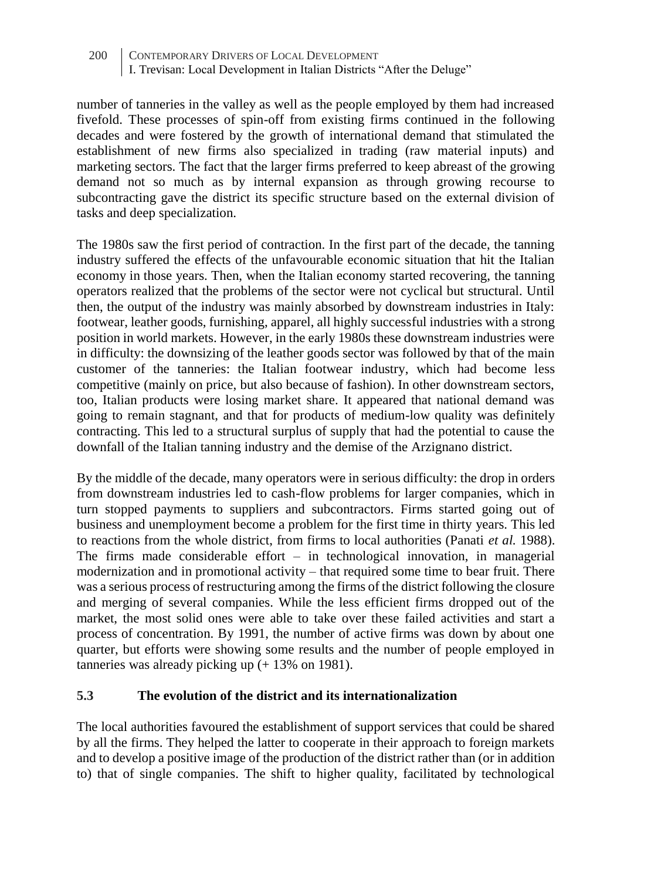number of tanneries in the valley as well as the people employed by them had increased fivefold. These processes of spin-off from existing firms continued in the following decades and were fostered by the growth of international demand that stimulated the establishment of new firms also specialized in trading (raw material inputs) and marketing sectors. The fact that the larger firms preferred to keep abreast of the growing demand not so much as by internal expansion as through growing recourse to subcontracting gave the district its specific structure based on the external division of tasks and deep specialization.

The 1980s saw the first period of contraction. In the first part of the decade, the tanning industry suffered the effects of the unfavourable economic situation that hit the Italian economy in those years. Then, when the Italian economy started recovering, the tanning operators realized that the problems of the sector were not cyclical but structural. Until then, the output of the industry was mainly absorbed by downstream industries in Italy: footwear, leather goods, furnishing, apparel, all highly successful industries with a strong position in world markets. However, in the early 1980s these downstream industries were in difficulty: the downsizing of the leather goods sector was followed by that of the main customer of the tanneries: the Italian footwear industry, which had become less competitive (mainly on price, but also because of fashion). In other downstream sectors, too, Italian products were losing market share. It appeared that national demand was going to remain stagnant, and that for products of medium-low quality was definitely contracting. This led to a structural surplus of supply that had the potential to cause the downfall of the Italian tanning industry and the demise of the Arzignano district.

By the middle of the decade, many operators were in serious difficulty: the drop in orders from downstream industries led to cash-flow problems for larger companies, which in turn stopped payments to suppliers and subcontractors. Firms started going out of business and unemployment become a problem for the first time in thirty years. This led to reactions from the whole district, from firms to local authorities (Panati *et al.* 1988). The firms made considerable effort  $-$  in technological innovation, in managerial modernization and in promotional activity – that required some time to bear fruit. There was a serious process of restructuring among the firms of the district following the closure and merging of several companies. While the less efficient firms dropped out of the market, the most solid ones were able to take over these failed activities and start a process of concentration. By 1991, the number of active firms was down by about one quarter, but efforts were showing some results and the number of people employed in tanneries was already picking up (+ 13% on 1981).

# **5.3 The evolution of the district and its internationalization**

The local authorities favoured the establishment of support services that could be shared by all the firms. They helped the latter to cooperate in their approach to foreign markets and to develop a positive image of the production of the district rather than (or in addition to) that of single companies. The shift to higher quality, facilitated by technological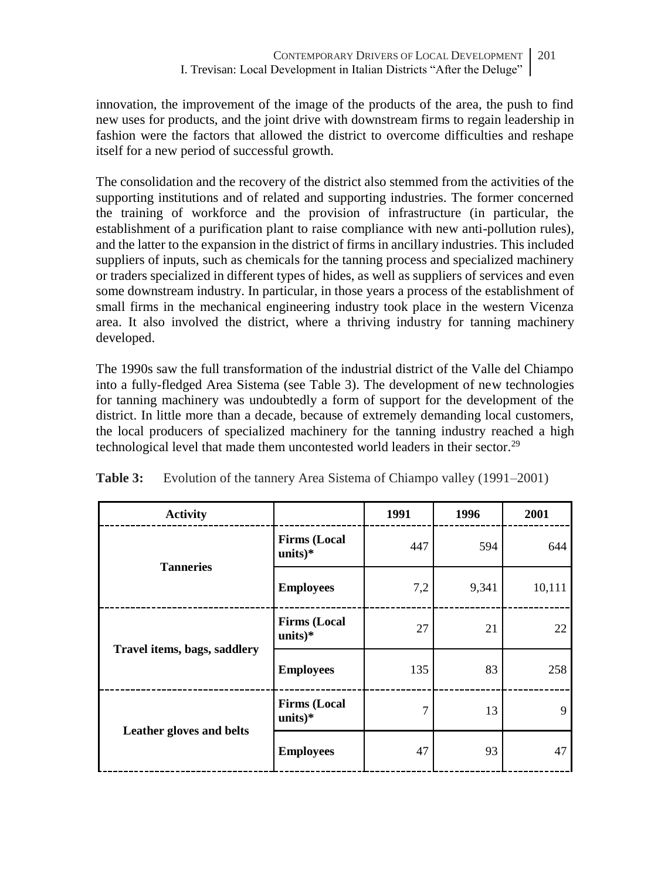innovation, the improvement of the image of the products of the area, the push to find new uses for products, and the joint drive with downstream firms to regain leadership in fashion were the factors that allowed the district to overcome difficulties and reshape itself for a new period of successful growth.

The consolidation and the recovery of the district also stemmed from the activities of the supporting institutions and of related and supporting industries. The former concerned the training of workforce and the provision of infrastructure (in particular, the establishment of a purification plant to raise compliance with new anti-pollution rules), and the latter to the expansion in the district of firms in ancillary industries. This included suppliers of inputs, such as chemicals for the tanning process and specialized machinery or traders specialized in different types of hides, as well as suppliers of services and even some downstream industry. In particular, in those years a process of the establishment of small firms in the mechanical engineering industry took place in the western Vicenza area. It also involved the district, where a thriving industry for tanning machinery developed.

The 1990s saw the full transformation of the industrial district of the Valle del Chiampo into a fully-fledged Area Sistema (see Table 3). The development of new technologies for tanning machinery was undoubtedly a form of support for the development of the district. In little more than a decade, because of extremely demanding local customers, the local producers of specialized machinery for the tanning industry reached a high technological level that made them uncontested world leaders in their sector.<sup>29</sup>

| <b>Activity</b>              |                                  | 1991 | 1996  | 2001   |
|------------------------------|----------------------------------|------|-------|--------|
| <b>Tanneries</b>             | <b>Firms (Local</b><br>$units)*$ | 447  | 594   | 644    |
|                              | <b>Employees</b>                 | 7,2  | 9,341 | 10,111 |
|                              | <b>Firms (Local</b><br>$units)*$ | 27   | 21    | 22     |
| Travel items, bags, saddlery | <b>Employees</b>                 | 135  | 83    | 258    |
|                              | <b>Firms (Local</b><br>$units)*$ | 7    | 13    | 9      |
| Leather gloves and belts     | <b>Employees</b>                 | 47   | 93    | 47     |

**Table 3:** Evolution of the tannery Area Sistema of Chiampo valley (1991–2001)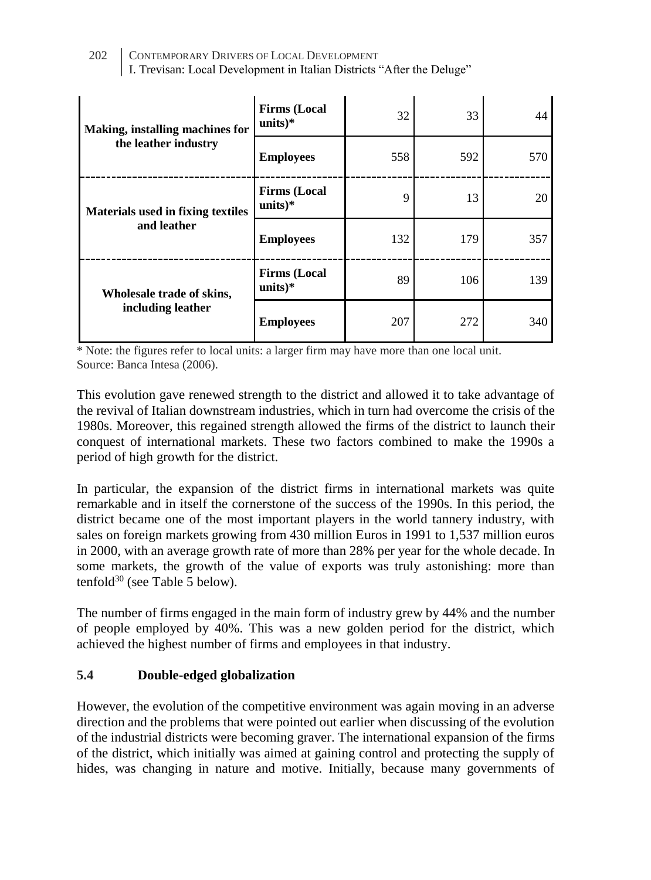| 202 CONTEMPORARY DRIVERS OF LOCAL DEVELOPMENT                          |
|------------------------------------------------------------------------|
| I. Trevisan: Local Development in Italian Districts "After the Deluge" |

| Making, installing machines for          | <b>Firms (Local</b><br>units $)$ * | 32  | 33  | 44  |
|------------------------------------------|------------------------------------|-----|-----|-----|
| the leather industry                     | <b>Employees</b>                   | 558 | 592 | 570 |
| <b>Materials used in fixing textiles</b> | <b>Firms (Local</b><br>$units)*$   | 9   | 13  | 20  |
| and leather                              | <b>Employees</b>                   | 132 | 179 | 357 |
| Wholesale trade of skins,                | <b>Firms</b> (Local<br>units $)*$  | 89  | 106 | 139 |
| including leather                        | <b>Employees</b>                   | 207 | 272 | 340 |

\* Note: the figures refer to local units: a larger firm may have more than one local unit. Source: Banca Intesa (2006).

This evolution gave renewed strength to the district and allowed it to take advantage of the revival of Italian downstream industries, which in turn had overcome the crisis of the 1980s. Moreover, this regained strength allowed the firms of the district to launch their conquest of international markets. These two factors combined to make the 1990s a period of high growth for the district.

In particular, the expansion of the district firms in international markets was quite remarkable and in itself the cornerstone of the success of the 1990s. In this period, the district became one of the most important players in the world tannery industry, with sales on foreign markets growing from 430 million Euros in 1991 to 1,537 million euros in 2000, with an average growth rate of more than 28% per year for the whole decade. In some markets, the growth of the value of exports was truly astonishing: more than tenfold $30$  (see Table 5 below).

The number of firms engaged in the main form of industry grew by 44% and the number of people employed by 40%. This was a new golden period for the district, which achieved the highest number of firms and employees in that industry.

# **5.4 Double-edged globalization**

However, the evolution of the competitive environment was again moving in an adverse direction and the problems that were pointed out earlier when discussing of the evolution of the industrial districts were becoming graver. The international expansion of the firms of the district, which initially was aimed at gaining control and protecting the supply of hides, was changing in nature and motive. Initially, because many governments of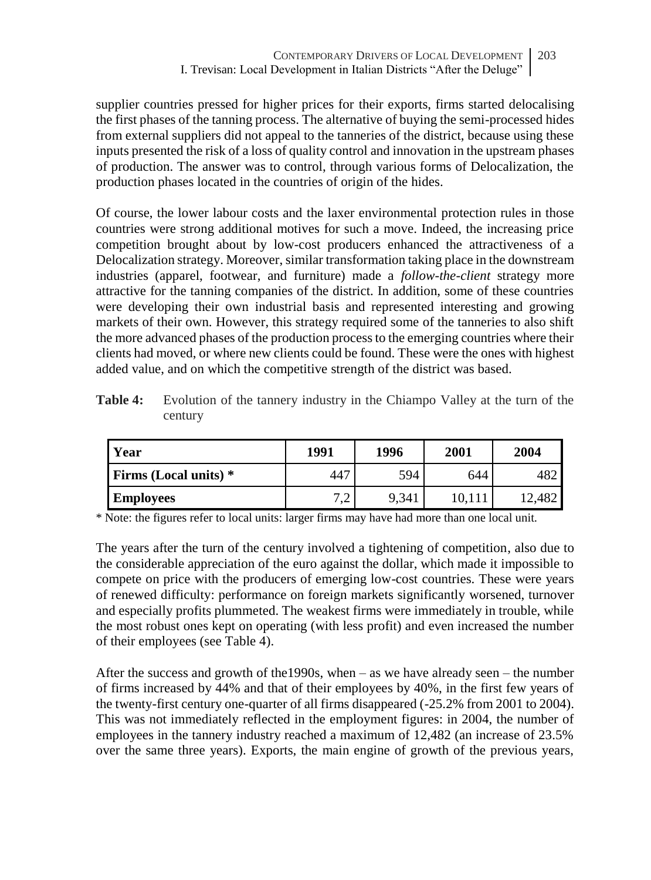supplier countries pressed for higher prices for their exports, firms started delocalising the first phases of the tanning process. The alternative of buying the semi-processed hides from external suppliers did not appeal to the tanneries of the district, because using these inputs presented the risk of a loss of quality control and innovation in the upstream phases of production. The answer was to control, through various forms of Delocalization, the production phases located in the countries of origin of the hides.

Of course, the lower labour costs and the laxer environmental protection rules in those countries were strong additional motives for such a move. Indeed, the increasing price competition brought about by low-cost producers enhanced the attractiveness of a Delocalization strategy. Moreover, similar transformation taking place in the downstream industries (apparel, footwear, and furniture) made a *follow-the-client* strategy more attractive for the tanning companies of the district. In addition, some of these countries were developing their own industrial basis and represented interesting and growing markets of their own. However, this strategy required some of the tanneries to also shift the more advanced phases of the production process to the emerging countries where their clients had moved, or where new clients could be found. These were the ones with highest added value, and on which the competitive strength of the district was based.

**Table 4:** Evolution of the tannery industry in the Chiampo Valley at the turn of the century

| Year                         | 1991                                      | 1996  | 2001   | 2004  |
|------------------------------|-------------------------------------------|-------|--------|-------|
| <b>Firms (Local units)</b> * | 447                                       | 594   | 644    | 482   |
| <b>Employees</b>             | $\sim$ $\sim$<br>$\overline{\phantom{0}}$ | 9.341 | 10.111 | 2.482 |

\* Note: the figures refer to local units: larger firms may have had more than one local unit.

The years after the turn of the century involved a tightening of competition, also due to the considerable appreciation of the euro against the dollar, which made it impossible to compete on price with the producers of emerging low-cost countries. These were years of renewed difficulty: performance on foreign markets significantly worsened, turnover and especially profits plummeted. The weakest firms were immediately in trouble, while the most robust ones kept on operating (with less profit) and even increased the number of their employees (see Table 4).

After the success and growth of the1990s, when – as we have already seen – the number of firms increased by 44% and that of their employees by 40%, in the first few years of the twenty-first century one-quarter of all firms disappeared (-25.2% from 2001 to 2004). This was not immediately reflected in the employment figures: in 2004, the number of employees in the tannery industry reached a maximum of 12,482 (an increase of 23.5% over the same three years). Exports, the main engine of growth of the previous years,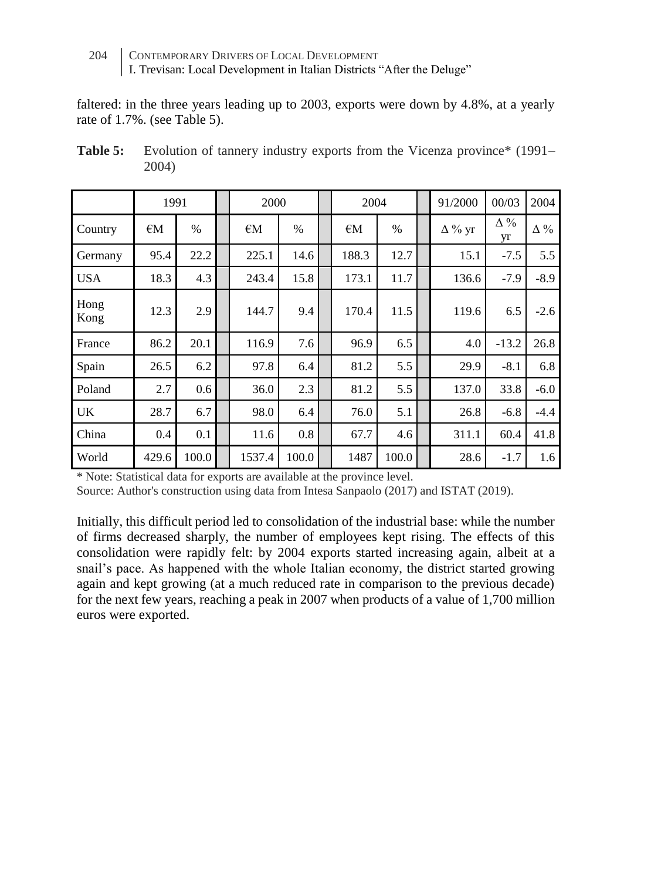faltered: in the three years leading up to 2003, exports were down by 4.8%, at a yearly rate of 1.7%. (see Table 5).

|              | 1991         |       | 2000         |               | 2004         |       | 91/2000       | 00/03            | 2004       |
|--------------|--------------|-------|--------------|---------------|--------------|-------|---------------|------------------|------------|
| Country      | $\epsilon$ M | $\%$  | $\epsilon$ M | $\frac{0}{0}$ | $\epsilon$ M | $\%$  | $\Delta\%$ yr | $\Delta\%$<br>yr | $\Delta\%$ |
| Germany      | 95.4         | 22.2  | 225.1        | 14.6          | 188.3        | 12.7  | 15.1          | $-7.5$           | 5.5        |
| <b>USA</b>   | 18.3         | 4.3   | 243.4        | 15.8          | 173.1        | 11.7  | 136.6         | $-7.9$           | $-8.9$     |
| Hong<br>Kong | 12.3         | 2.9   | 144.7        | 9.4           | 170.4        | 11.5  | 119.6         | 6.5              | $-2.6$     |
| France       | 86.2         | 20.1  | 116.9        | 7.6           | 96.9         | 6.5   | 4.0           | $-13.2$          | 26.8       |
| Spain        | 26.5         | 6.2   | 97.8         | 6.4           | 81.2         | 5.5   | 29.9          | $-8.1$           | 6.8        |
| Poland       | 2.7          | 0.6   | 36.0         | 2.3           | 81.2         | 5.5   | 137.0         | 33.8             | $-6.0$     |
| UK           | 28.7         | 6.7   | 98.0         | 6.4           | 76.0         | 5.1   | 26.8          | $-6.8$           | $-4.4$     |
| China        | 0.4          | 0.1   | 11.6         | 0.8           | 67.7         | 4.6   | 311.1         | 60.4             | 41.8       |
| World        | 429.6        | 100.0 | 1537.4       | 100.0         | 1487         | 100.0 | 28.6          | $-1.7$           | 1.6        |

**Table 5:** Evolution of tannery industry exports from the Vicenza province<sup>\*</sup> (1991– 2004)

\* Note: Statistical data for exports are available at the province level.

Source: Author's construction using data from Intesa Sanpaolo (2017) and ISTAT (2019).

Initially, this difficult period led to consolidation of the industrial base: while the number of firms decreased sharply, the number of employees kept rising. The effects of this consolidation were rapidly felt: by 2004 exports started increasing again, albeit at a snail's pace. As happened with the whole Italian economy, the district started growing again and kept growing (at a much reduced rate in comparison to the previous decade) for the next few years, reaching a peak in 2007 when products of a value of 1,700 million euros were exported.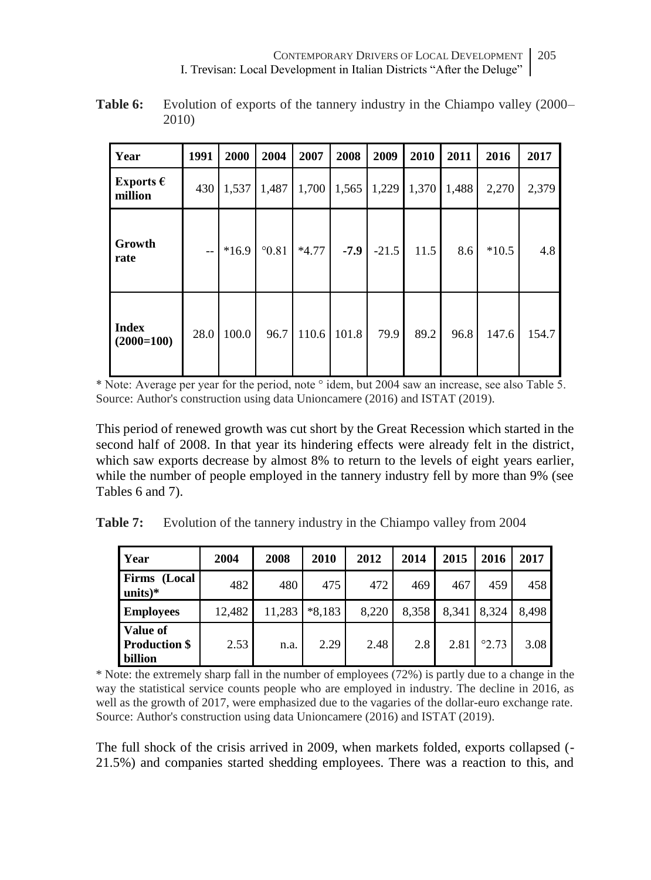| Year                          | 1991 | 2000    | 2004           | 2007    | 2008   | 2009    | 2010  | 2011  | 2016    | 2017  |
|-------------------------------|------|---------|----------------|---------|--------|---------|-------|-------|---------|-------|
| Exports $\epsilon$<br>million | 430  | 1,537   | 1,487          | 1,700   | 1,565  | 1,229   | 1,370 | 1,488 | 2,270   | 2,379 |
| Growth<br>rate                | $-$  | $*16.9$ | $^{\circ}0.81$ | $*4.77$ | $-7.9$ | $-21.5$ | 11.5  | 8.6   | $*10.5$ | 4.8   |
| <b>Index</b><br>$(2000=100)$  | 28.0 | 100.0   | 96.7           | 110.6   | 101.8  | 79.9    | 89.2  | 96.8  | 147.6   | 154.7 |

**Table 6:** Evolution of exports of the tannery industry in the Chiampo valley (2000– 2010)

\* Note: Average per year for the period, note ° idem, but 2004 saw an increase, see also Table 5. Source: Author's construction using data Unioncamere (2016) and ISTAT (2019).

This period of renewed growth was cut short by the Great Recession which started in the second half of 2008. In that year its hindering effects were already felt in the district, which saw exports decrease by almost 8% to return to the levels of eight years earlier. while the number of people employed in the tannery industry fell by more than 9% (see Tables 6 and 7).

|  | <b>Table 7:</b> Evolution of the tannery industry in the Chiampo valley from 2004 |  |  |  |  |  |  |
|--|-----------------------------------------------------------------------------------|--|--|--|--|--|--|
|--|-----------------------------------------------------------------------------------|--|--|--|--|--|--|

| Year                                        | 2004   | 2008   | 2010     | 2012  | 2014  | 2015  | 2016           | 2017  |
|---------------------------------------------|--------|--------|----------|-------|-------|-------|----------------|-------|
| Firms (Local<br>$units)*$                   | 482    | 480    | 475      | 472   | 469   | 467   | 459            | 458   |
| <b>Employees</b>                            | 12,482 | 11,283 | $*8.183$ | 8.220 | 8.358 | 8.341 | 8.324          | 8.498 |
| Value of<br><b>Production \$</b><br>billion | 2.53   | n.a.   | 2.29     | 2.48  | 2.8   | 2.81  | $^{\circ}2.73$ | 3.08  |

\* Note: the extremely sharp fall in the number of employees (72%) is partly due to a change in the way the statistical service counts people who are employed in industry. The decline in 2016, as well as the growth of 2017, were emphasized due to the vagaries of the dollar-euro exchange rate. Source: Author's construction using data Unioncamere (2016) and ISTAT (2019).

The full shock of the crisis arrived in 2009, when markets folded, exports collapsed (- 21.5%) and companies started shedding employees. There was a reaction to this, and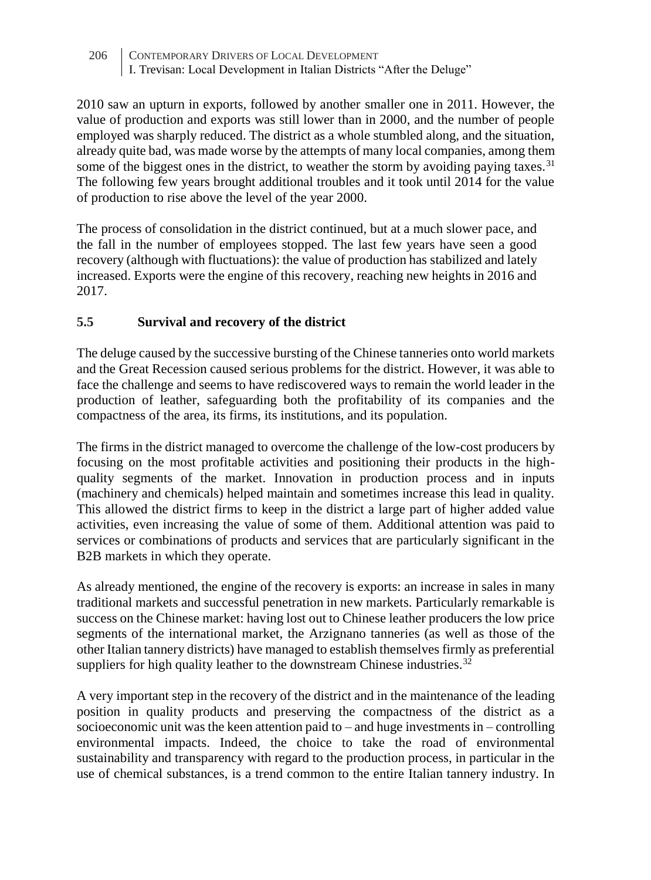2010 saw an upturn in exports, followed by another smaller one in 2011. However, the value of production and exports was still lower than in 2000, and the number of people employed was sharply reduced. The district as a whole stumbled along, and the situation, already quite bad, was made worse by the attempts of many local companies, among them some of the biggest ones in the district, to weather the storm by avoiding paying taxes.<sup>31</sup> The following few years brought additional troubles and it took until 2014 for the value of production to rise above the level of the year 2000.

The process of consolidation in the district continued, but at a much slower pace, and the fall in the number of employees stopped. The last few years have seen a good recovery (although with fluctuations): the value of production has stabilized and lately increased. Exports were the engine of this recovery, reaching new heights in 2016 and 2017.

# **5.5 Survival and recovery of the district**

The deluge caused by the successive bursting of the Chinese tanneries onto world markets and the Great Recession caused serious problems for the district. However, it was able to face the challenge and seems to have rediscovered ways to remain the world leader in the production of leather, safeguarding both the profitability of its companies and the compactness of the area, its firms, its institutions, and its population.

The firms in the district managed to overcome the challenge of the low-cost producers by focusing on the most profitable activities and positioning their products in the highquality segments of the market. Innovation in production process and in inputs (machinery and chemicals) helped maintain and sometimes increase this lead in quality. This allowed the district firms to keep in the district a large part of higher added value activities, even increasing the value of some of them. Additional attention was paid to services or combinations of products and services that are particularly significant in the B2B markets in which they operate.

As already mentioned, the engine of the recovery is exports: an increase in sales in many traditional markets and successful penetration in new markets. Particularly remarkable is success on the Chinese market: having lost out to Chinese leather producers the low price segments of the international market, the Arzignano tanneries (as well as those of the other Italian tannery districts) have managed to establish themselves firmly as preferential suppliers for high quality leather to the downstream Chinese industries.<sup>32</sup>

A very important step in the recovery of the district and in the maintenance of the leading position in quality products and preserving the compactness of the district as a socioeconomic unit was the keen attention paid to  $-$  and huge investments in  $-$  controlling environmental impacts. Indeed, the choice to take the road of environmental sustainability and transparency with regard to the production process, in particular in the use of chemical substances, is a trend common to the entire Italian tannery industry. In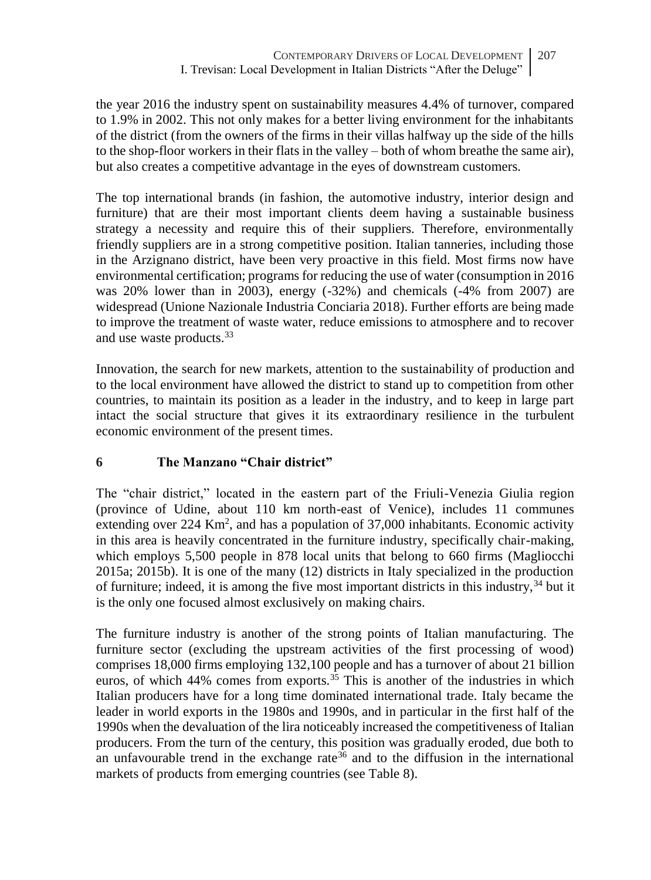the year 2016 the industry spent on sustainability measures 4.4% of turnover, compared to 1.9% in 2002. This not only makes for a better living environment for the inhabitants of the district (from the owners of the firms in their villas halfway up the side of the hills to the shop-floor workers in their flats in the valley – both of whom breathe the same air), but also creates a competitive advantage in the eyes of downstream customers.

The top international brands (in fashion, the automotive industry, interior design and furniture) that are their most important clients deem having a sustainable business strategy a necessity and require this of their suppliers. Therefore, environmentally friendly suppliers are in a strong competitive position. Italian tanneries, including those in the Arzignano district, have been very proactive in this field. Most firms now have environmental certification; programs for reducing the use of water (consumption in 2016 was 20% lower than in 2003), energy (-32%) and chemicals (-4% from 2007) are widespread (Unione Nazionale Industria Conciaria 2018). Further efforts are being made to improve the treatment of waste water, reduce emissions to atmosphere and to recover and use waste products.<sup>33</sup>

Innovation, the search for new markets, attention to the sustainability of production and to the local environment have allowed the district to stand up to competition from other countries, to maintain its position as a leader in the industry, and to keep in large part intact the social structure that gives it its extraordinary resilience in the turbulent economic environment of the present times.

# **6 The Manzano "Chair district"**

The "chair district," located in the eastern part of the Friuli-Venezia Giulia region (province of Udine, about 110 km north-east of Venice), includes 11 communes extending over  $224 \text{ Km}^2$ , and has a population of  $37,000$  inhabitants. Economic activity in this area is heavily concentrated in the furniture industry, specifically chair-making, which employs 5,500 people in 878 local units that belong to 660 firms (Magliocchi 2015a; 2015b). It is one of the many (12) districts in Italy specialized in the production of furniture; indeed, it is among the five most important districts in this industry, $34$  but it is the only one focused almost exclusively on making chairs.

The furniture industry is another of the strong points of Italian manufacturing. The furniture sector (excluding the upstream activities of the first processing of wood) comprises 18,000 firms employing 132,100 people and has a turnover of about 21 billion euros, of which  $44\%$  comes from exports.<sup>35</sup> This is another of the industries in which Italian producers have for a long time dominated international trade. Italy became the leader in world exports in the 1980s and 1990s, and in particular in the first half of the 1990s when the devaluation of the lira noticeably increased the competitiveness of Italian producers. From the turn of the century, this position was gradually eroded, due both to an unfavourable trend in the exchange rate<sup>36</sup> and to the diffusion in the international markets of products from emerging countries (see Table 8).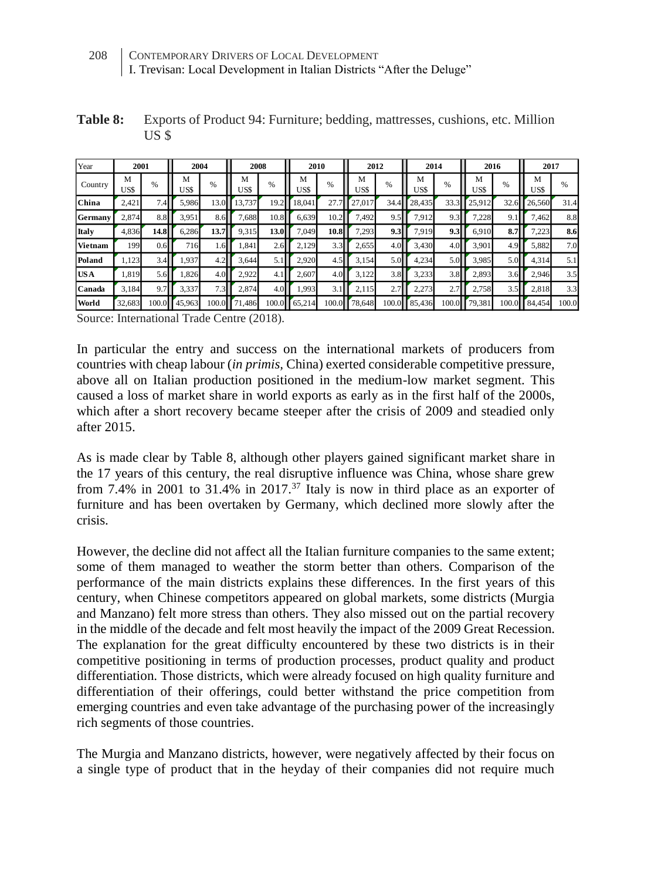**Table 8:** Exports of Product 94: Furniture; bedding, mattresses, cushions, etc. Million US \$

| Year    | 2001      |                            | 2004      |                                              |           | 2008<br>2010 |                 | 2012  |           | 2014  |           | 2016  |           | 2017  |           |       |
|---------|-----------|----------------------------|-----------|----------------------------------------------|-----------|--------------|-----------------|-------|-----------|-------|-----------|-------|-----------|-------|-----------|-------|
| Country | М<br>US\$ | %                          | М<br>US\$ | %                                            | М<br>US\$ | $\%$         | M<br><b>USS</b> | $\%$  | М<br>US\$ | %     | М<br>US\$ | $\%$  | М<br>US\$ | %     | М<br>US\$ | $\%$  |
| China   | 2,421     | $\overline{ }$<br>$.4^{r}$ | 5,986     | 13.0                                         | 13.737    | 19.2         | 18,041          | 27.   | 27,017    | 34.4  | 28,435    | 33.3  | 25.912    | 32.6  | 26,560    | 31.4  |
| Germany | 2,874     | 8.8I                       | 3,951     | 8.6                                          | 1,688     | 10.8         | 6,639           | 10.2  | 7,492     | 9.5   | 7,912     | 9.3   | 7,228     | 9.1   | 7,462     | 8.8   |
| Italy   | 4,836     | 14.8                       | 6,286     | 13.7                                         | 9,315     | 13.0         | 7.049           | 10.8  | 7,293     | 9.3   | 7,919     | 9.3   | 6.910     | 8.7   | 7,223     | 8.6   |
| Vietnam | 199       | 0.6                        | 716       | $4.6$ <sup><math>\triangleright</math></sup> | .841      | 2.6          | 2,129           | 3.3   | 2,655     | 4.0   | 3,430     | 4.0   | 3,901     | 4.9   | 5,882     | 7.0   |
| Poland  | 1,123     | 3.4                        | 1,937     | 4.2                                          | 3,644     |              | 2,920           | 4.5   | 3,154     | 5.0   | 4,234     | 5.0   | 3,985     |       | 4,314     | 5.1   |
| US A    | 1.819     | 5.6                        | 1,826     | 4.0                                          | 2.922     | 4.1          | 2.607           | 4.0   | 3,122     | 3.8   | 3,233     | 3.8   | 2,893     | 3.6   | 2,946     | 3.5   |
| Canada  | 3.184     | 9.7                        | 3,337     | 7.3                                          | 2,874     | 4.0          | .993            | 3.    | 2,115     | 2.7   | 2,273     | 2.7   | 2.758     | 3.5   | 2,818     | 3.3   |
| World   | 32,683    | 100.01                     | 45,963    | 100.0                                        | 71,486    | 100.0        | 65,214          | 100.0 | 78,648    | 100.0 | 85,436    | 100.0 | 79,381    | 100.0 | 84,454    | 100.0 |

Source: International Trade Centre (2018).

In particular the entry and success on the international markets of producers from countries with cheap labour (*in primis,* China) exerted considerable competitive pressure, above all on Italian production positioned in the medium-low market segment. This caused a loss of market share in world exports as early as in the first half of the 2000s, which after a short recovery became steeper after the crisis of 2009 and steadied only after 2015.

As is made clear by Table 8, although other players gained significant market share in the 17 years of this century, the real disruptive influence was China, whose share grew from 7.4% in 2001 to 31.4% in 2017.<sup>37</sup> Italy is now in third place as an exporter of furniture and has been overtaken by Germany, which declined more slowly after the crisis.

However, the decline did not affect all the Italian furniture companies to the same extent; some of them managed to weather the storm better than others. Comparison of the performance of the main districts explains these differences. In the first years of this century, when Chinese competitors appeared on global markets, some districts (Murgia and Manzano) felt more stress than others. They also missed out on the partial recovery in the middle of the decade and felt most heavily the impact of the 2009 Great Recession. The explanation for the great difficulty encountered by these two districts is in their competitive positioning in terms of production processes, product quality and product differentiation. Those districts, which were already focused on high quality furniture and differentiation of their offerings, could better withstand the price competition from emerging countries and even take advantage of the purchasing power of the increasingly rich segments of those countries.

The Murgia and Manzano districts, however, were negatively affected by their focus on a single type of product that in the heyday of their companies did not require much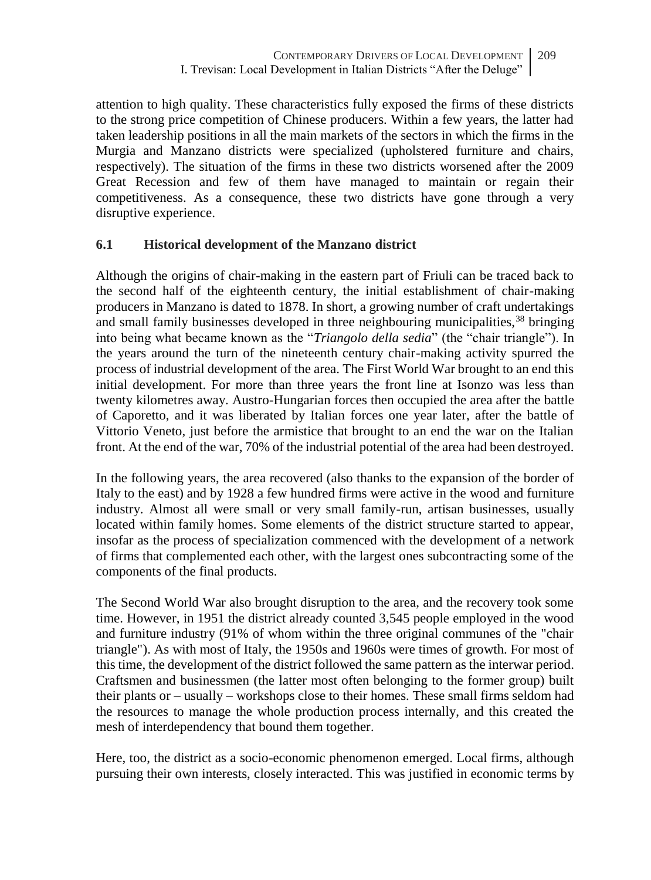attention to high quality. These characteristics fully exposed the firms of these districts to the strong price competition of Chinese producers. Within a few years, the latter had taken leadership positions in all the main markets of the sectors in which the firms in the Murgia and Manzano districts were specialized (upholstered furniture and chairs, respectively). The situation of the firms in these two districts worsened after the 2009 Great Recession and few of them have managed to maintain or regain their competitiveness. As a consequence, these two districts have gone through a very disruptive experience.

# **6.1 Historical development of the Manzano district**

Although the origins of chair-making in the eastern part of Friuli can be traced back to the second half of the eighteenth century, the initial establishment of chair-making producers in Manzano is dated to 1878. In short, a growing number of craft undertakings and small family businesses developed in three neighbouring municipalities,<sup>38</sup> bringing into being what became known as the "*Triangolo della sedia*" (the "chair triangle"). In the years around the turn of the nineteenth century chair-making activity spurred the process of industrial development of the area. The First World War brought to an end this initial development. For more than three years the front line at Isonzo was less than twenty kilometres away. Austro-Hungarian forces then occupied the area after the battle of Caporetto, and it was liberated by Italian forces one year later, after the battle of Vittorio Veneto, just before the armistice that brought to an end the war on the Italian front. At the end of the war, 70% of the industrial potential of the area had been destroyed.

In the following years, the area recovered (also thanks to the expansion of the border of Italy to the east) and by 1928 a few hundred firms were active in the wood and furniture industry. Almost all were small or very small family-run, artisan businesses, usually located within family homes. Some elements of the district structure started to appear, insofar as the process of specialization commenced with the development of a network of firms that complemented each other, with the largest ones subcontracting some of the components of the final products.

The Second World War also brought disruption to the area, and the recovery took some time. However, in 1951 the district already counted 3,545 people employed in the wood and furniture industry (91% of whom within the three original communes of the "chair triangle"). As with most of Italy, the 1950s and 1960s were times of growth. For most of this time, the development of the district followed the same pattern as the interwar period. Craftsmen and businessmen (the latter most often belonging to the former group) built their plants or – usually – workshops close to their homes. These small firms seldom had the resources to manage the whole production process internally, and this created the mesh of interdependency that bound them together.

Here, too, the district as a socio-economic phenomenon emerged. Local firms, although pursuing their own interests, closely interacted. This was justified in economic terms by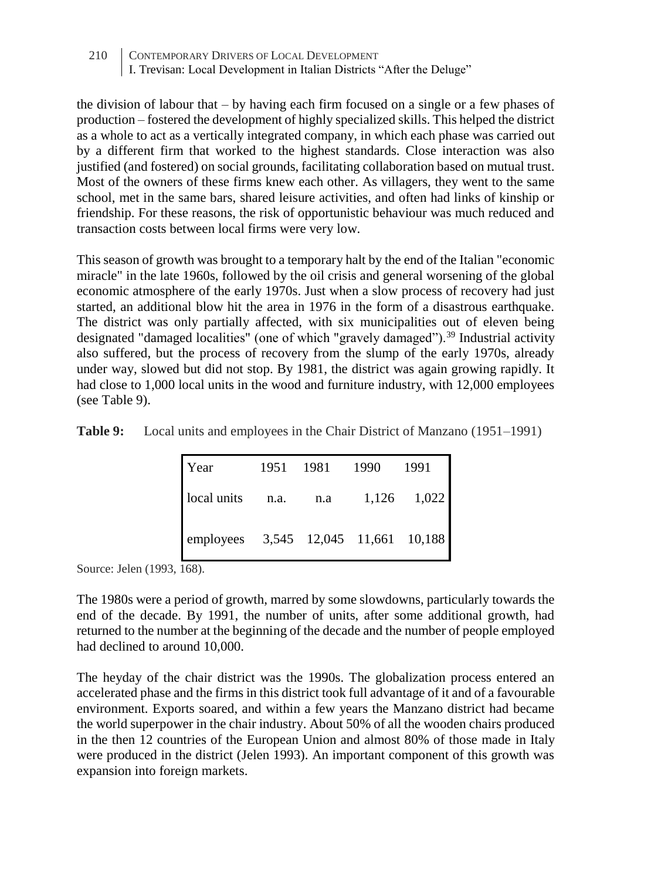the division of labour that – by having each firm focused on a single or a few phases of production – fostered the development of highly specialized skills. This helped the district as a whole to act as a vertically integrated company, in which each phase was carried out by a different firm that worked to the highest standards. Close interaction was also justified (and fostered) on social grounds, facilitating collaboration based on mutual trust. Most of the owners of these firms knew each other. As villagers, they went to the same school, met in the same bars, shared leisure activities, and often had links of kinship or friendship. For these reasons, the risk of opportunistic behaviour was much reduced and transaction costs between local firms were very low.

This season of growth was brought to a temporary halt by the end of the Italian "economic miracle" in the late 1960s, followed by the oil crisis and general worsening of the global economic atmosphere of the early 1970s. Just when a slow process of recovery had just started, an additional blow hit the area in 1976 in the form of a disastrous earthquake. The district was only partially affected, with six municipalities out of eleven being designated "damaged localities" (one of which "gravely damaged").<sup>39</sup> Industrial activity also suffered, but the process of recovery from the slump of the early 1970s, already under way, slowed but did not stop. By 1981, the district was again growing rapidly. It had close to 1,000 local units in the wood and furniture industry, with 12,000 employees (see Table 9).

| Year                                 | 1951 | 1981 | 1990 | 1991        |
|--------------------------------------|------|------|------|-------------|
| local units n.a.                     |      | n.a  |      | 1,126 1,022 |
| employees 3,545 12,045 11,661 10,188 |      |      |      |             |

Source: Jelen (1993, 168).

The 1980s were a period of growth, marred by some slowdowns, particularly towards the end of the decade. By 1991, the number of units, after some additional growth, had returned to the number at the beginning of the decade and the number of people employed had declined to around 10,000.

The heyday of the chair district was the 1990s. The globalization process entered an accelerated phase and the firms in this district took full advantage of it and of a favourable environment. Exports soared, and within a few years the Manzano district had became the world superpower in the chair industry. About 50% of all the wooden chairs produced in the then 12 countries of the European Union and almost 80% of those made in Italy were produced in the district (Jelen 1993). An important component of this growth was expansion into foreign markets.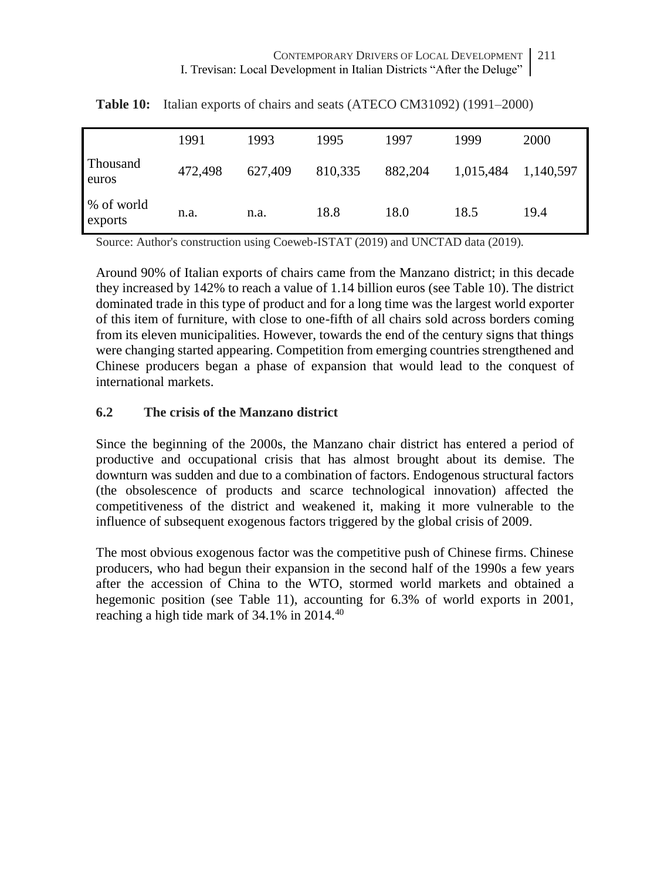|                       | 1991    | 1993    | 1995    | 1997    | 1999      | 2000      |
|-----------------------|---------|---------|---------|---------|-----------|-----------|
| Thousand<br>euros     | 472,498 | 627,409 | 810,335 | 882,204 | 1,015,484 | 1,140,597 |
| % of world<br>exports | n.a.    | n.a.    | 18.8    | 18.0    | 18.5      | 19.4      |

**Table 10:** Italian exports of chairs and seats (ATECO CM31092) (1991–2000)

Source: Author's construction using Coeweb-ISTAT (2019) and UNCTAD data (2019).

Around 90% of Italian exports of chairs came from the Manzano district; in this decade they increased by 142% to reach a value of 1.14 billion euros (see Table 10). The district dominated trade in this type of product and for a long time was the largest world exporter of this item of furniture, with close to one-fifth of all chairs sold across borders coming from its eleven municipalities. However, towards the end of the century signs that things were changing started appearing. Competition from emerging countries strengthened and Chinese producers began a phase of expansion that would lead to the conquest of international markets.

### **6.2 The crisis of the Manzano district**

Since the beginning of the 2000s, the Manzano chair district has entered a period of productive and occupational crisis that has almost brought about its demise. The downturn was sudden and due to a combination of factors. Endogenous structural factors (the obsolescence of products and scarce technological innovation) affected the competitiveness of the district and weakened it, making it more vulnerable to the influence of subsequent exogenous factors triggered by the global crisis of 2009.

The most obvious exogenous factor was the competitive push of Chinese firms. Chinese producers, who had begun their expansion in the second half of the 1990s a few years after the accession of China to the WTO, stormed world markets and obtained a hegemonic position (see Table 11), accounting for 6.3% of world exports in 2001, reaching a high tide mark of 34.1% in 2014.40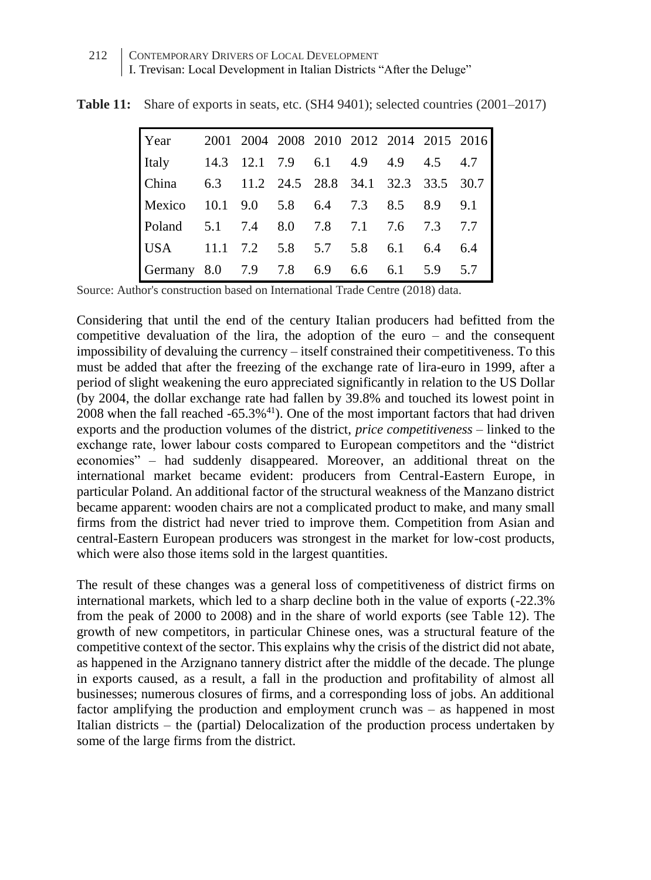| Year                                    |                                   |  |     |     |         | 2001 2004 2008 2010 2012 2014 2015 2016 |
|-----------------------------------------|-----------------------------------|--|-----|-----|---------|-----------------------------------------|
| Italy                                   | 14.3 12.1 7.9 6.1 4.9 4.9 4.5 4.7 |  |     |     |         |                                         |
| <b>China</b>                            |                                   |  |     |     |         | 6.3 11.2 24.5 28.8 34.1 32.3 33.5 30.7  |
| Mexico 10.1 9.0 5.8 6.4 7.3 8.5 8.9 9.1 |                                   |  |     |     |         |                                         |
| Poland 5.1 7.4 8.0 7.8 7.1 7.6 7.3      |                                   |  |     |     |         | 7.7                                     |
| USA $11.1$ 7.2 5.8 5.7 5.8              |                                   |  |     | 6.1 | 6.4     | 6.4                                     |
| Germany 8.0 7.9 7.8 6.9                 |                                   |  | 6.6 | 6.1 | 5.9 5.7 |                                         |

**Table 11:** Share of exports in seats, etc. (SH4 9401); selected countries (2001–2017)

Source: Author's construction based on International Trade Centre (2018) data.

Considering that until the end of the century Italian producers had befitted from the competitive devaluation of the lira, the adoption of the euro – and the consequent impossibility of devaluing the currency – itself constrained their competitiveness. To this must be added that after the freezing of the exchange rate of lira-euro in 1999, after a period of slight weakening the euro appreciated significantly in relation to the US Dollar (by 2004, the dollar exchange rate had fallen by 39.8% and touched its lowest point in  $2008$  when the fall reached  $-65.3\%$ <sup>41</sup>). One of the most important factors that had driven exports and the production volumes of the district, *price competitiveness –* linked to the exchange rate, lower labour costs compared to European competitors and the "district economies" – had suddenly disappeared. Moreover, an additional threat on the international market became evident: producers from Central-Eastern Europe, in particular Poland. An additional factor of the structural weakness of the Manzano district became apparent: wooden chairs are not a complicated product to make, and many small firms from the district had never tried to improve them. Competition from Asian and central-Eastern European producers was strongest in the market for low-cost products, which were also those items sold in the largest quantities.

The result of these changes was a general loss of competitiveness of district firms on international markets, which led to a sharp decline both in the value of exports (-22.3% from the peak of 2000 to 2008) and in the share of world exports (see Table 12). The growth of new competitors, in particular Chinese ones, was a structural feature of the competitive context of the sector. This explains why the crisis of the district did not abate, as happened in the Arzignano tannery district after the middle of the decade. The plunge in exports caused, as a result, a fall in the production and profitability of almost all businesses; numerous closures of firms, and a corresponding loss of jobs. An additional factor amplifying the production and employment crunch was – as happened in most Italian districts – the (partial) Delocalization of the production process undertaken by some of the large firms from the district.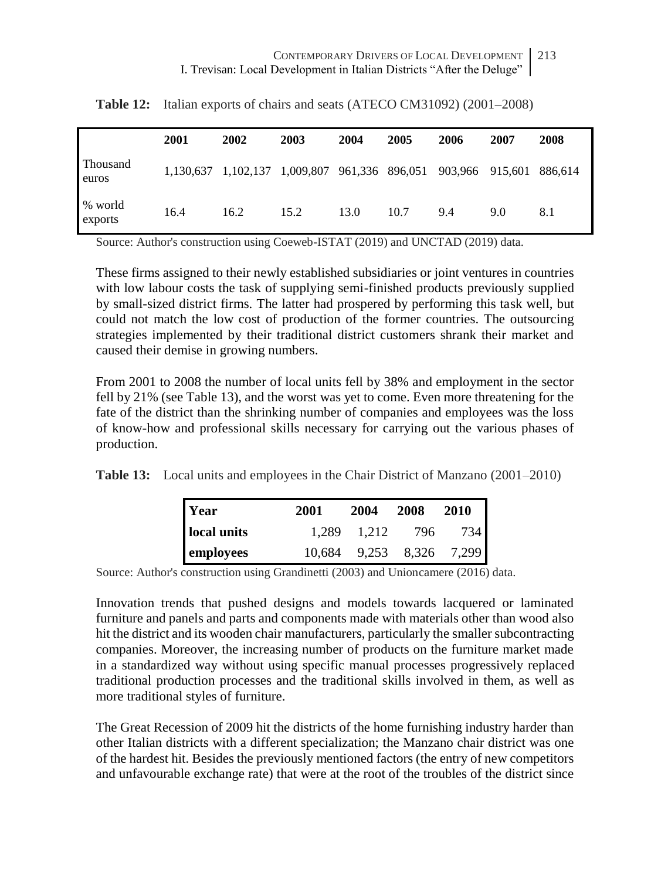|                    | 2001 | 2002                                                          | 2003 | 2004 | 2005 | 2006 | 2007 | 2008    |
|--------------------|------|---------------------------------------------------------------|------|------|------|------|------|---------|
| Thousand<br>euros  |      | 1,130,637 1,102,137 1,009,807 961,336 896,051 903,966 915,601 |      |      |      |      |      | 886.614 |
| % world<br>exports | 16.4 | 16.2                                                          | 15.2 | 13.0 | 10.7 | 9.4  | 9.0  | 8.1     |

**Table 12:** Italian exports of chairs and seats (ATECO CM31092) (2001–2008)

Source: Author's construction using Coeweb-ISTAT (2019) and UNCTAD (2019) data.

These firms assigned to their newly established subsidiaries or joint ventures in countries with low labour costs the task of supplying semi-finished products previously supplied by small-sized district firms. The latter had prospered by performing this task well, but could not match the low cost of production of the former countries. The outsourcing strategies implemented by their traditional district customers shrank their market and caused their demise in growing numbers.

From 2001 to 2008 the number of local units fell by 38% and employment in the sector fell by 21% (see Table 13), and the worst was yet to come. Even more threatening for the fate of the district than the shrinking number of companies and employees was the loss of know-how and professional skills necessary for carrying out the various phases of production.

**Table 13:** Local units and employees in the Chair District of Manzano (2001–2010)

| Year        | 2001 | 2004                     | 2008 | 2010 |  |
|-------------|------|--------------------------|------|------|--|
| local units |      | 1.289 1.212              | 796  | 734  |  |
| employees   |      | 10,684 9,253 8,326 7,299 |      |      |  |

Source: Author's construction using Grandinetti (2003) and Unioncamere (2016) data.

Innovation trends that pushed designs and models towards lacquered or laminated furniture and panels and parts and components made with materials other than wood also hit the district and its wooden chair manufacturers, particularly the smaller subcontracting companies. Moreover, the increasing number of products on the furniture market made in a standardized way without using specific manual processes progressively replaced traditional production processes and the traditional skills involved in them, as well as more traditional styles of furniture.

The Great Recession of 2009 hit the districts of the home furnishing industry harder than other Italian districts with a different specialization; the Manzano chair district was one of the hardest hit. Besides the previously mentioned factors (the entry of new competitors and unfavourable exchange rate) that were at the root of the troubles of the district since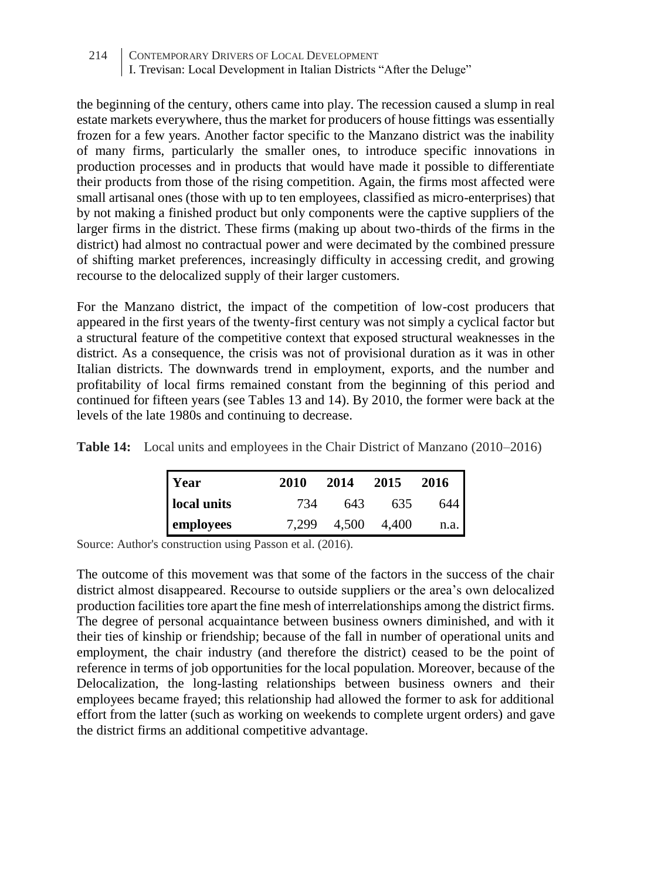the beginning of the century, others came into play. The recession caused a slump in real estate markets everywhere, thus the market for producers of house fittings was essentially frozen for a few years. Another factor specific to the Manzano district was the inability of many firms, particularly the smaller ones, to introduce specific innovations in production processes and in products that would have made it possible to differentiate their products from those of the rising competition. Again, the firms most affected were small artisanal ones (those with up to ten employees, classified as micro-enterprises) that by not making a finished product but only components were the captive suppliers of the larger firms in the district. These firms (making up about two-thirds of the firms in the district) had almost no contractual power and were decimated by the combined pressure of shifting market preferences, increasingly difficulty in accessing credit, and growing recourse to the delocalized supply of their larger customers.

For the Manzano district, the impact of the competition of low-cost producers that appeared in the first years of the twenty-first century was not simply a cyclical factor but a structural feature of the competitive context that exposed structural weaknesses in the district. As a consequence, the crisis was not of provisional duration as it was in other Italian districts. The downwards trend in employment, exports, and the number and profitability of local firms remained constant from the beginning of this period and continued for fifteen years (see Tables 13 and 14). By 2010, the former were back at the levels of the late 1980s and continuing to decrease.

**Table 14:** Local units and employees in the Chair District of Manzano (2010–2016)

| Year        | 2010  | 2014 | 2015        | 2016 |
|-------------|-------|------|-------------|------|
| local units | 734   | 643. | 635         | 644  |
| employees   | 7.299 |      | 4.500 4.400 | n.a. |

Source: Author's construction using Passon et al. (2016).

The outcome of this movement was that some of the factors in the success of the chair district almost disappeared. Recourse to outside suppliers or the area's own delocalized production facilities tore apart the fine mesh of interrelationships among the district firms. The degree of personal acquaintance between business owners diminished, and with it their ties of kinship or friendship; because of the fall in number of operational units and employment, the chair industry (and therefore the district) ceased to be the point of reference in terms of job opportunities for the local population. Moreover, because of the Delocalization, the long-lasting relationships between business owners and their employees became frayed; this relationship had allowed the former to ask for additional effort from the latter (such as working on weekends to complete urgent orders) and gave the district firms an additional competitive advantage.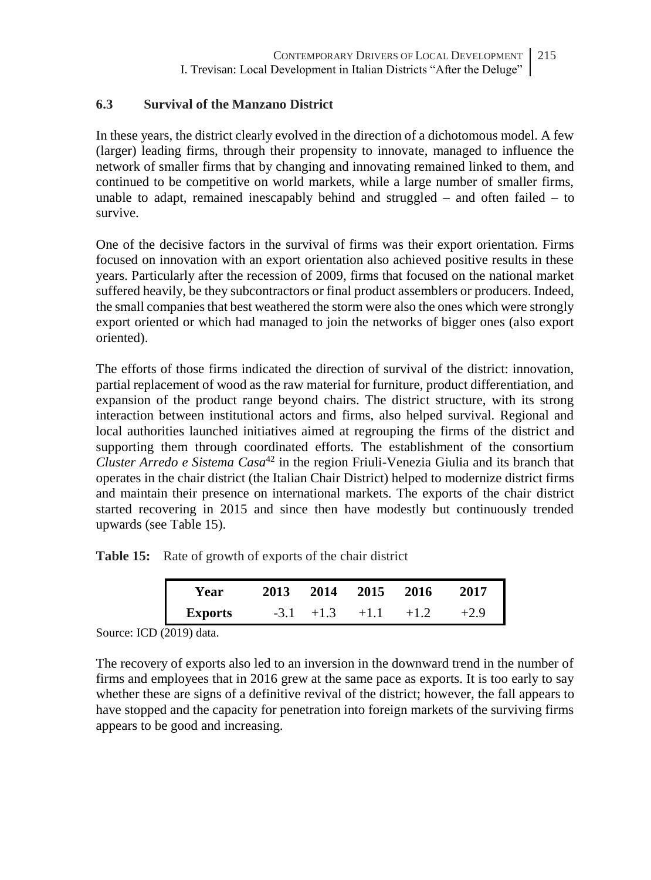## **6.3 Survival of the Manzano District**

In these years, the district clearly evolved in the direction of a dichotomous model. A few (larger) leading firms, through their propensity to innovate, managed to influence the network of smaller firms that by changing and innovating remained linked to them, and continued to be competitive on world markets, while a large number of smaller firms, unable to adapt, remained inescapably behind and struggled  $-$  and often failed  $-$  to survive.

One of the decisive factors in the survival of firms was their export orientation. Firms focused on innovation with an export orientation also achieved positive results in these years. Particularly after the recession of 2009, firms that focused on the national market suffered heavily, be they subcontractors or final product assemblers or producers. Indeed, the small companies that best weathered the storm were also the ones which were strongly export oriented or which had managed to join the networks of bigger ones (also export oriented).

The efforts of those firms indicated the direction of survival of the district: innovation, partial replacement of wood as the raw material for furniture, product differentiation, and expansion of the product range beyond chairs. The district structure, with its strong interaction between institutional actors and firms, also helped survival. Regional and local authorities launched initiatives aimed at regrouping the firms of the district and supporting them through coordinated efforts. The establishment of the consortium *Cluster Arredo e Sistema Casa*<sup>42</sup> in the region Friuli-Venezia Giulia and its branch that operates in the chair district (the Italian Chair District) helped to modernize district firms and maintain their presence on international markets. The exports of the chair district started recovering in 2015 and since then have modestly but continuously trended upwards (see Table 15).

Table 15: Rate of growth of exports of the chair district

| Year           |              | 2013 2014 2015 2016 |        | 2017   |  |
|----------------|--------------|---------------------|--------|--------|--|
| <b>Exports</b> | $-3.1 + 1.3$ | $+1.1$              | $+1.2$ | $+2.9$ |  |

Source: ICD (2019) data.

The recovery of exports also led to an inversion in the downward trend in the number of firms and employees that in 2016 grew at the same pace as exports. It is too early to say whether these are signs of a definitive revival of the district; however, the fall appears to have stopped and the capacity for penetration into foreign markets of the surviving firms appears to be good and increasing.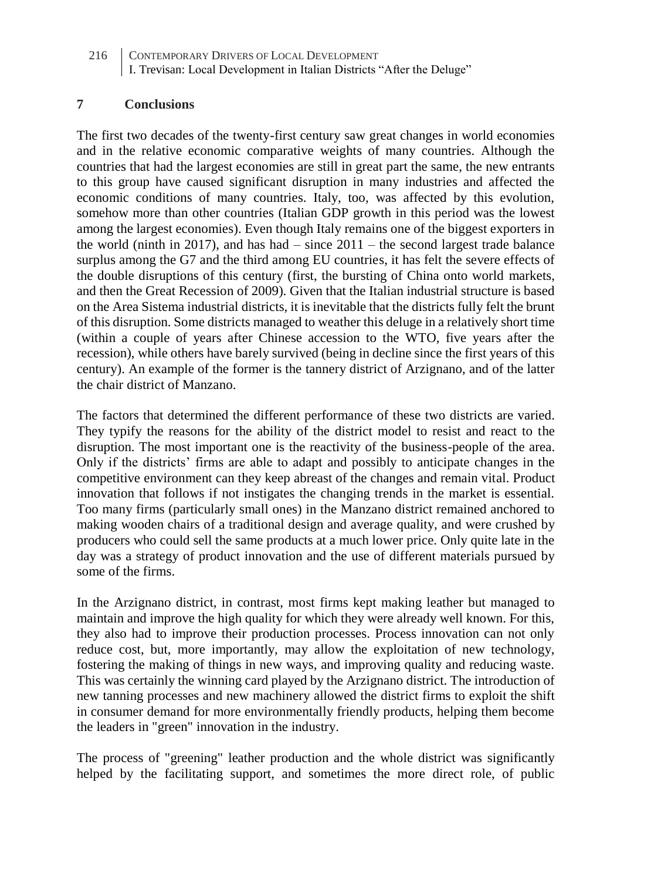#### **7 Conclusions**

The first two decades of the twenty-first century saw great changes in world economies and in the relative economic comparative weights of many countries. Although the countries that had the largest economies are still in great part the same, the new entrants to this group have caused significant disruption in many industries and affected the economic conditions of many countries. Italy, too, was affected by this evolution, somehow more than other countries (Italian GDP growth in this period was the lowest among the largest economies). Even though Italy remains one of the biggest exporters in the world (ninth in 2017), and has had  $-$  since 2011  $-$  the second largest trade balance surplus among the G7 and the third among EU countries, it has felt the severe effects of the double disruptions of this century (first, the bursting of China onto world markets, and then the Great Recession of 2009). Given that the Italian industrial structure is based on the Area Sistema industrial districts, it is inevitable that the districts fully felt the brunt of this disruption. Some districts managed to weather this deluge in a relatively short time (within a couple of years after Chinese accession to the WTO, five years after the recession), while others have barely survived (being in decline since the first years of this century). An example of the former is the tannery district of Arzignano, and of the latter the chair district of Manzano.

The factors that determined the different performance of these two districts are varied. They typify the reasons for the ability of the district model to resist and react to the disruption. The most important one is the reactivity of the business-people of the area. Only if the districts' firms are able to adapt and possibly to anticipate changes in the competitive environment can they keep abreast of the changes and remain vital. Product innovation that follows if not instigates the changing trends in the market is essential. Too many firms (particularly small ones) in the Manzano district remained anchored to making wooden chairs of a traditional design and average quality, and were crushed by producers who could sell the same products at a much lower price. Only quite late in the day was a strategy of product innovation and the use of different materials pursued by some of the firms.

In the Arzignano district, in contrast, most firms kept making leather but managed to maintain and improve the high quality for which they were already well known. For this, they also had to improve their production processes. Process innovation can not only reduce cost, but, more importantly, may allow the exploitation of new technology, fostering the making of things in new ways, and improving quality and reducing waste. This was certainly the winning card played by the Arzignano district. The introduction of new tanning processes and new machinery allowed the district firms to exploit the shift in consumer demand for more environmentally friendly products, helping them become the leaders in "green" innovation in the industry.

The process of "greening" leather production and the whole district was significantly helped by the facilitating support, and sometimes the more direct role, of public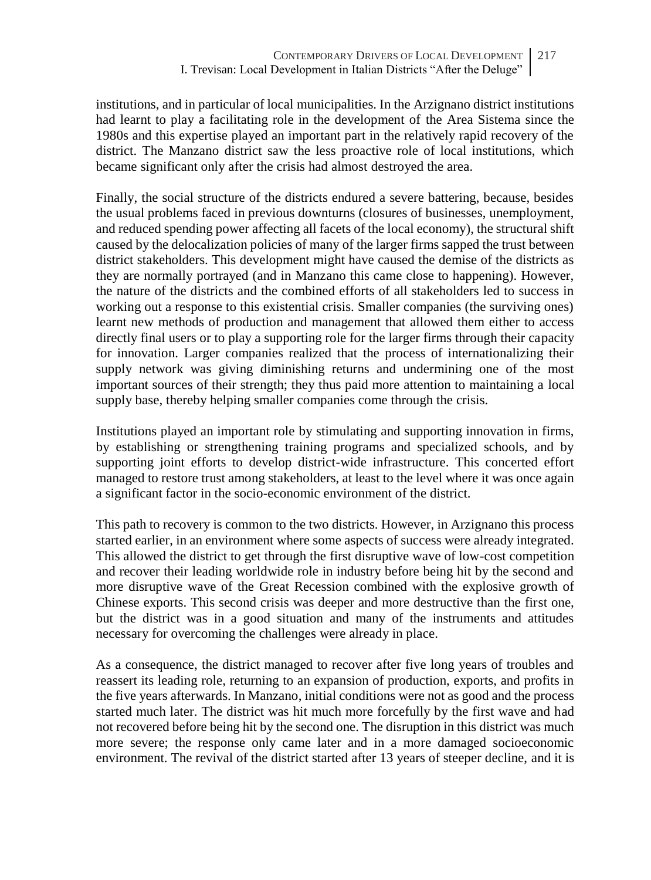institutions, and in particular of local municipalities. In the Arzignano district institutions had learnt to play a facilitating role in the development of the Area Sistema since the 1980s and this expertise played an important part in the relatively rapid recovery of the district. The Manzano district saw the less proactive role of local institutions, which became significant only after the crisis had almost destroyed the area.

Finally, the social structure of the districts endured a severe battering, because, besides the usual problems faced in previous downturns (closures of businesses, unemployment, and reduced spending power affecting all facets of the local economy), the structural shift caused by the delocalization policies of many of the larger firms sapped the trust between district stakeholders. This development might have caused the demise of the districts as they are normally portrayed (and in Manzano this came close to happening). However, the nature of the districts and the combined efforts of all stakeholders led to success in working out a response to this existential crisis. Smaller companies (the surviving ones) learnt new methods of production and management that allowed them either to access directly final users or to play a supporting role for the larger firms through their capacity for innovation. Larger companies realized that the process of internationalizing their supply network was giving diminishing returns and undermining one of the most important sources of their strength; they thus paid more attention to maintaining a local supply base, thereby helping smaller companies come through the crisis.

Institutions played an important role by stimulating and supporting innovation in firms, by establishing or strengthening training programs and specialized schools, and by supporting joint efforts to develop district-wide infrastructure. This concerted effort managed to restore trust among stakeholders, at least to the level where it was once again a significant factor in the socio-economic environment of the district.

This path to recovery is common to the two districts. However, in Arzignano this process started earlier, in an environment where some aspects of success were already integrated. This allowed the district to get through the first disruptive wave of low-cost competition and recover their leading worldwide role in industry before being hit by the second and more disruptive wave of the Great Recession combined with the explosive growth of Chinese exports. This second crisis was deeper and more destructive than the first one, but the district was in a good situation and many of the instruments and attitudes necessary for overcoming the challenges were already in place.

As a consequence, the district managed to recover after five long years of troubles and reassert its leading role, returning to an expansion of production, exports, and profits in the five years afterwards. In Manzano, initial conditions were not as good and the process started much later. The district was hit much more forcefully by the first wave and had not recovered before being hit by the second one. The disruption in this district was much more severe; the response only came later and in a more damaged socioeconomic environment. The revival of the district started after 13 years of steeper decline, and it is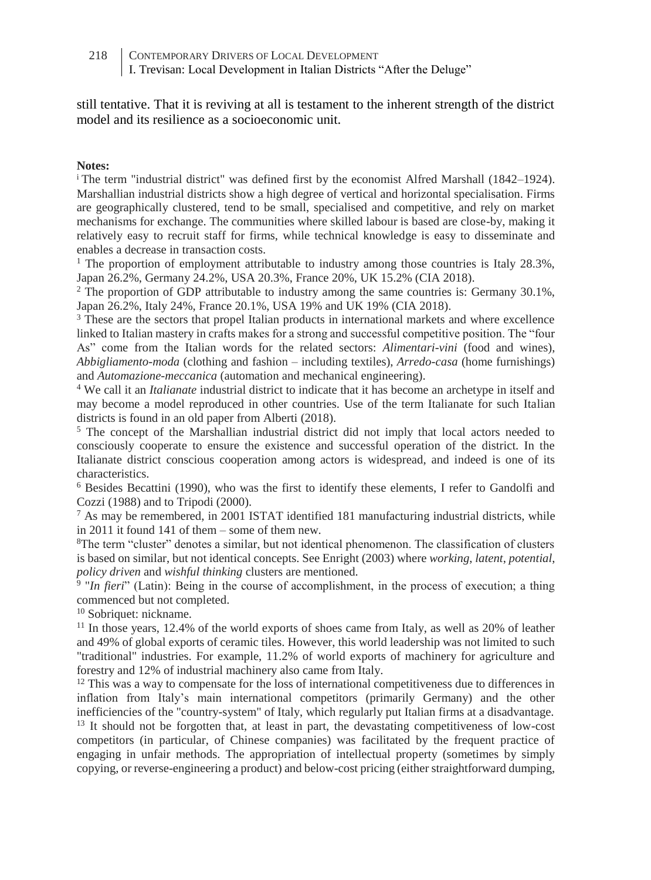still tentative. That it is reviving at all is testament to the inherent strength of the district model and its resilience as a socioeconomic unit.

#### **Notes:**

<sup>i</sup> The term "industrial district" was defined first by the economist Alfred Marshall (1842–1924). Marshallian industrial districts show a high degree of vertical and horizontal specialisation. Firms are geographically clustered, tend to be small, specialised and competitive, and rely on market mechanisms for exchange. The communities where skilled labour is based are close-by, making it relatively easy to recruit staff for firms, while technical knowledge is easy to disseminate and enables a decrease in transaction costs.

<sup>1</sup> The proportion of employment attributable to industry among those countries is Italy  $28.3\%$ , Japan 26.2%, Germany 24.2%, USA 20.3%, France 20%, UK 15.2% (CIA 2018).

<sup>2</sup> The proportion of GDP attributable to industry among the same countries is: Germany 30.1%, Japan 26.2%, Italy 24%, France 20.1%, USA 19% and UK 19% (CIA 2018).

<sup>3</sup> These are the sectors that propel Italian products in international markets and where excellence linked to Italian mastery in crafts makes for a strong and successful competitive position. The "four As" come from the Italian words for the related sectors: *Alimentari-vini* (food and wines), *Abbigliamento-moda* (clothing and fashion – including textiles), *Arredo-casa* (home furnishings) and *Automazione-meccanica* (automation and mechanical engineering).

<sup>4</sup> We call it an *Italianate* industrial district to indicate that it has become an archetype in itself and may become a model reproduced in other countries. Use of the term Italianate for such Italian districts is found in an old paper from Alberti (2018).

<sup>5</sup> The concept of the Marshallian industrial district did not imply that local actors needed to consciously cooperate to ensure the existence and successful operation of the district. In the Italianate district conscious cooperation among actors is widespread, and indeed is one of its characteristics.

<sup>6</sup> Besides Becattini (1990), who was the first to identify these elements, I refer to Gandolfi and Cozzi (1988) and to Tripodi (2000).

 $^7$  As may be remembered, in 2001 ISTAT identified 181 manufacturing industrial districts, while in 2011 it found 141 of them – some of them new.

<sup>8</sup>The term "cluster" denotes a similar, but not identical phenomenon. The classification of clusters is based on similar, but not identical concepts. See Enright (2003) where *working*, *latent*, *potential*, *policy driven* and *wishful thinking* clusters are mentioned.

<sup>9</sup> "*In fieri*" (Latin): Being in the course of accomplishment, in the process of execution; a thing commenced but not completed.

<sup>10</sup> Sobriquet: nickname.

<sup>11</sup> In those years, 12.4% of the world exports of shoes came from Italy, as well as 20% of leather and 49% of global exports of ceramic tiles. However, this world leadership was not limited to such "traditional" industries. For example, 11.2% of world exports of machinery for agriculture and forestry and 12% of industrial machinery also came from Italy.

 $12$  This was a way to compensate for the loss of international competitiveness due to differences in inflation from Italy's main international competitors (primarily Germany) and the other inefficiencies of the "country-system" of Italy, which regularly put Italian firms at a disadvantage. <sup>13</sup> It should not be forgotten that, at least in part, the devastating competitiveness of low-cost competitors (in particular, of Chinese companies) was facilitated by the frequent practice of engaging in unfair methods. The appropriation of intellectual property (sometimes by simply copying, or reverse-engineering a product) and below-cost pricing (either straightforward dumping,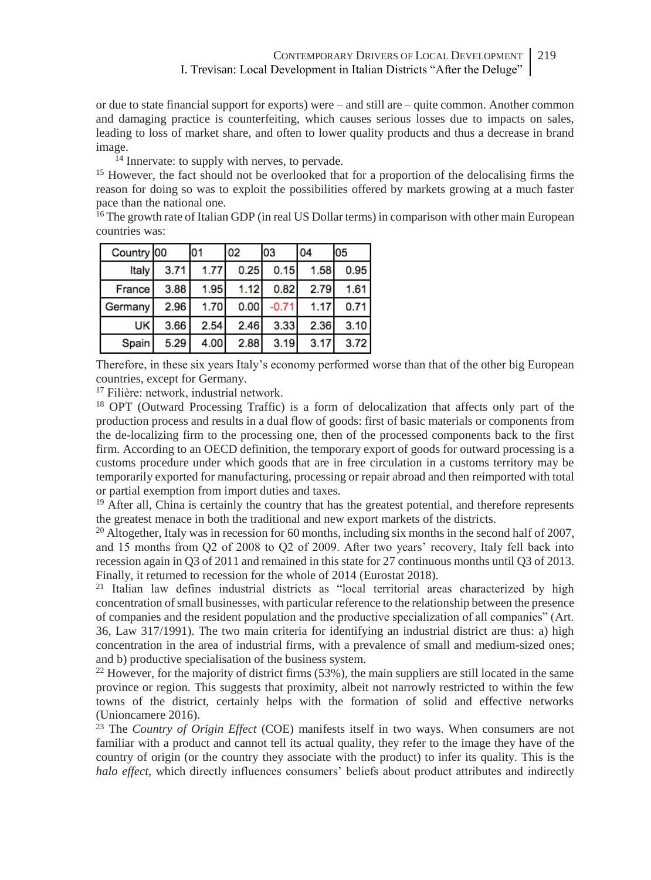or due to state financial support for exports) were - and still are - quite common. Another common and damaging practice is counterfeiting, which causes serious losses due to impacts on sales, leading to loss of market share, and often to lower quality products and thus a decrease in brand image.

<sup>14</sup> Innervate: to supply with nerves, to pervade.

<sup>15</sup> However, the fact should not be overlooked that for a proportion of the delocalising firms the reason for doing so was to exploit the possibilities offered by markets growing at a much faster pace than the national one.

 $16$  The growth rate of Italian GDP (in real US Dollar terms) in comparison with other main European countries was:

| Country 00    |      | IO1  | 02   | 03      | 04   | <b>05</b> |
|---------------|------|------|------|---------|------|-----------|
| Italy         | 3.71 | 1.77 | 0.25 | 0.15    | 1.58 | 0.95      |
| <b>France</b> | 3.88 | 1.95 | 1.12 | 0.82    | 2.79 | 1.61      |
| Germany       | 2.96 | 1.70 | 0.00 | $-0.71$ | 1.17 | 0.71      |
| UK            | 3.66 | 2.54 | 2.46 | 3.33    | 2.36 | 3.10      |
| <b>Spain</b>  | 5.29 | 4.00 | 2.88 | 3.19    | 3.17 | 3.72      |

Therefore, in these six years Italy's economy performed worse than that of the other big European countries, except for Germany.

<sup>17</sup> Filière: network, industrial network.

<sup>18</sup> OPT (Outward Processing Traffic) is a form of delocalization that affects only part of the production process and results in a dual flow of goods: first of basic materials or components from the de-localizing firm to the processing one, then of the processed components back to the first firm. According to an OECD definition, the temporary export of goods for outward processing is a customs procedure under which goods that are in free circulation in a customs territory may be temporarily exported for manufacturing, processing or repair abroad and then reimported with total or partial exemption from import duties and taxes.

<sup>19</sup> After all, China is certainly the country that has the greatest potential, and therefore represents the greatest menace in both the traditional and new export markets of the districts.

<sup>20</sup> Altogether, Italy was in recession for 60 months, including six months in the second half of 2007, and 15 months from Q2 of 2008 to Q2 of 2009. After two years' recovery, Italy fell back into recession again in Q3 of 2011 and remained in this state for 27 continuous months until Q3 of 2013. Finally, it returned to recession for the whole of 2014 (Eurostat 2018).

 $21$  Italian law defines industrial districts as "local territorial areas characterized by high concentration of small businesses, with particular reference to the relationship between the presence of companies and the resident population and the productive specialization of all companies" (Art. 36, Law 317/1991). The two main criteria for identifying an industrial district are thus: a) high concentration in the area of industrial firms, with a prevalence of small and medium-sized ones; and b) productive specialisation of the business system.

 $^{22}$  However, for the majority of district firms (53%), the main suppliers are still located in the same province or region. This suggests that proximity, albeit not narrowly restricted to within the few towns of the district, certainly helps with the formation of solid and effective networks (Unioncamere 2016).

<sup>23</sup> The *Country of Origin Effect* (COE) manifests itself in two ways. When consumers are not familiar with a product and cannot tell its actual quality, they refer to the image they have of the country of origin (or the country they associate with the product) to infer its quality. This is the *halo effect*, which directly influences consumers' beliefs about product attributes and indirectly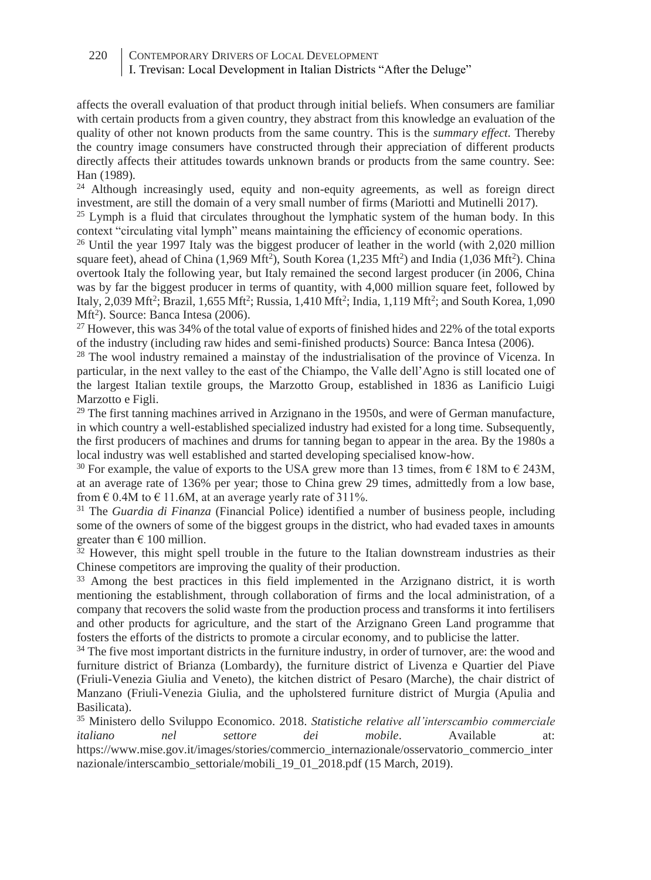220 CONTEMPORARY DRIVERS OF LOCAL DEVELOPMENT I. Trevisan: Local Development in Italian Districts "After the Deluge"

- affects the overall evaluation of that product through initial beliefs. When consumers are familiar with certain products from a given country, they abstract from this knowledge an evaluation of the quality of other not known products from the same country. This is the *summary effect.* Thereby the country image consumers have constructed through their appreciation of different products directly affects their attitudes towards unknown brands or products from the same country. See: Han (1989).

 $24$  Although increasingly used, equity and non-equity agreements, as well as foreign direct investment, are still the domain of a very small number of firms (Mariotti and Mutinelli 2017).

 $25$  Lymph is a fluid that circulates throughout the lymphatic system of the human body. In this context "circulating vital lymph" means maintaining the efficiency of economic operations.

<sup>26</sup> Until the year 1997 Italy was the biggest producer of leather in the world (with 2,020 million square feet), ahead of China  $(1,969 \text{ Mft}^2)$ , South Korea  $(1,235 \text{ Mft}^2)$  and India  $(1,036 \text{ Mft}^2)$ . China overtook Italy the following year, but Italy remained the second largest producer (in 2006, China was by far the biggest producer in terms of quantity, with 4,000 million square feet, followed by Italy, 2,039 Mft<sup>2</sup> ; Brazil, 1,655 Mft<sup>2</sup> ; Russia, 1,410 Mft<sup>2</sup> ; India, 1,119 Mft<sup>2</sup> ; and South Korea, 1,090 Mft<sup>2</sup>). Source: Banca Intesa (2006).

<sup>27</sup> However, this was 34% of the total value of exports of finished hides and 22% of the total exports of the industry (including raw hides and semi-finished products) Source: Banca Intesa (2006).

<sup>28</sup> The wool industry remained a mainstay of the industrialisation of the province of Vicenza. In particular, in the next valley to the east of the Chiampo, the Valle dell'Agno is still located one of the largest Italian textile groups, the Marzotto Group, established in 1836 as Lanificio Luigi Marzotto e Figli.

 $29$  The first tanning machines arrived in Arzignano in the 1950s, and were of German manufacture, in which country a well-established specialized industry had existed for a long time. Subsequently, the first producers of machines and drums for tanning began to appear in the area. By the 1980s a local industry was well established and started developing specialised know-how.

<sup>30</sup> For example, the value of exports to the USA grew more than 13 times, from  $\epsilon$  18M to  $\epsilon$  243M. at an average rate of 136% per year; those to China grew 29 times, admittedly from a low base, from  $\epsilon$  0.4M to  $\epsilon$  11.6M, at an average yearly rate of 311%.

<sup>31</sup> The *Guardia di Finanza* (Financial Police) identified a number of business people, including some of the owners of some of the biggest groups in the district, who had evaded taxes in amounts greater than  $\epsilon$  100 million.

 $32$  However, this might spell trouble in the future to the Italian downstream industries as their Chinese competitors are improving the quality of their production.

<sup>33</sup> Among the best practices in this field implemented in the Arzignano district, it is worth mentioning the establishment, through collaboration of firms and the local administration, of a company that recovers the solid waste from the production process and transforms it into fertilisers and other products for agriculture, and the start of the Arzignano Green Land programme that fosters the efforts of the districts to promote a circular economy, and to publicise the latter.

<sup>34</sup> The five most important districts in the furniture industry, in order of turnover, are: the wood and furniture district of Brianza (Lombardy), the furniture district of Livenza e Quartier del Piave (Friuli-Venezia Giulia and Veneto), the kitchen district of Pesaro (Marche), the chair district of Manzano (Friuli-Venezia Giulia, and the upholstered furniture district of Murgia (Apulia and Basilicata).

<sup>35</sup> Ministero dello Sviluppo Economico. 2018. *Statistiche relative all'interscambio commerciale italiano nel settore dei mobile*. Available at: https://www.mise.gov.it/images/stories/commercio\_internazionale/osservatorio\_commercio\_inter nazionale/interscambio\_settoriale/mobili\_19\_01\_2018.pdf (15 March, 2019).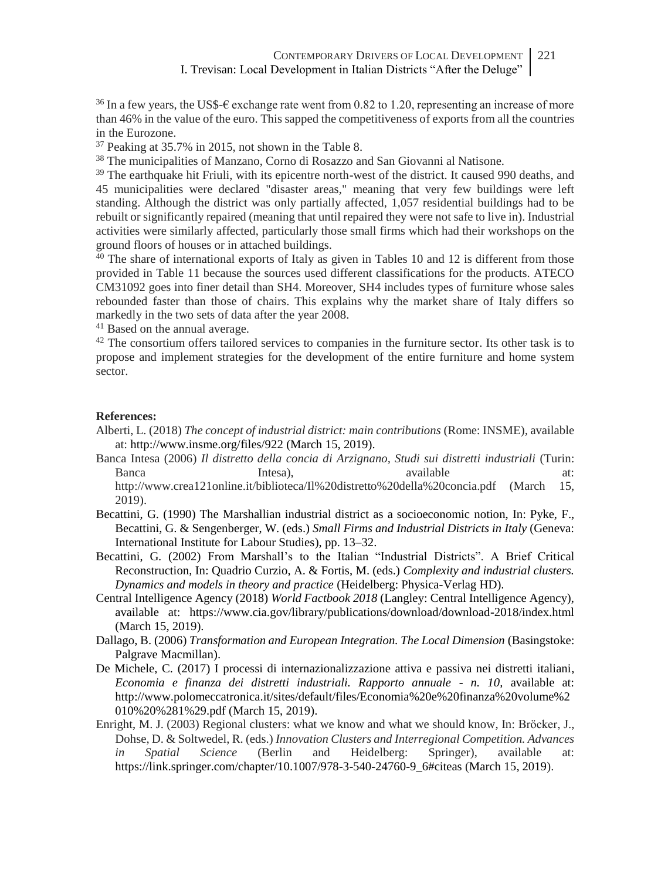$36$  In a few years, the US\$- $\epsilon$  exchange rate went from 0.82 to 1.20, representing an increase of more than 46% in the value of the euro. This sapped the competitiveness of exports from all the countries in the Eurozone.

<sup>37</sup> Peaking at 35.7% in 2015, not shown in the Table 8.

<sup>38</sup> The municipalities of Manzano, Corno di Rosazzo and San Giovanni al Natisone.

<sup>39</sup> The earthquake hit Friuli, with its epicentre north-west of the district. It caused 990 deaths, and 45 municipalities were declared "disaster areas," meaning that very few buildings were left standing. Although the district was only partially affected, 1,057 residential buildings had to be rebuilt or significantly repaired (meaning that until repaired they were not safe to live in). Industrial activities were similarly affected, particularly those small firms which had their workshops on the ground floors of houses or in attached buildings.

 $40$  The share of international exports of Italy as given in Tables 10 and 12 is different from those provided in Table 11 because the sources used different classifications for the products. ATECO CM31092 goes into finer detail than SH4. Moreover, SH4 includes types of furniture whose sales rebounded faster than those of chairs. This explains why the market share of Italy differs so markedly in the two sets of data after the year 2008.

<sup>41</sup> Based on the annual average.

<sup>42</sup> The consortium offers tailored services to companies in the furniture sector. Its other task is to propose and implement strategies for the development of the entire furniture and home system sector.

#### **References:**

- Alberti, L. (2018) *The concept of industrial district: main contributions* (Rome: INSME)*,* available at: http://www.insme.org/files/922 (March 15, 2019).
- Banca Intesa (2006) *Il distretto della concia di Arzignano, Studi sui distretti industriali* (Turin: Banca **Intesa**), available at: http://www.crea121online.it/biblioteca/Il%20distretto%20della%20concia.pdf (March 15,

2019). Becattini, G. (1990) The Marshallian industrial district as a socioeconomic notion, In: Pyke, F.,

- Becattini, G. & Sengenberger, W. (eds.) *Small Firms and Industrial Districts in Italy* (Geneva: International Institute for Labour Studies), pp. 13–32.
- Becattini, G. (2002) From Marshall's to the Italian "Industrial Districts". A Brief Critical Reconstruction, In: Quadrio Curzio, A. & Fortis, M. (eds.) *Complexity and industrial clusters. Dynamics and models in theory and practice* (Heidelberg: Physica-Verlag HD).
- Central Intelligence Agency (2018) *World Factbook 2018* (Langley: Central Intelligence Agency), available at: https://www.cia.gov/library/publications/download/download-2018/index.html (March 15, 2019).
- Dallago, B. (2006) *Transformation and European Integration. The Local Dimension* (Basingstoke: Palgrave Macmillan).
- De Michele, C. (2017) I processi di internazionalizzazione attiva e passiva nei distretti italiani, *Economia e finanza dei distretti industriali. Rapporto annuale - n. 10,* available at: http://www.polomeccatronica.it/sites/default/files/Economia%20e%20finanza%20volume%2 010%20%281%29.pdf (March 15, 2019).
- Enright, M. J. (2003) Regional clusters: what we know and what we should know, In: Bröcker, J., Dohse, D. & Soltwedel, R. (eds.) *Innovation Clusters and Interregional Competition. Advances in Spatial Science* (Berlin and Heidelberg: Springer), available at: [https://link.springer.com/chapter/10.1007/978-3-540-24760-9\\_6#citeas](https://link.springer.com/chapter/10.1007/978-3-540-24760-9_6#citeas) (March 15, 2019).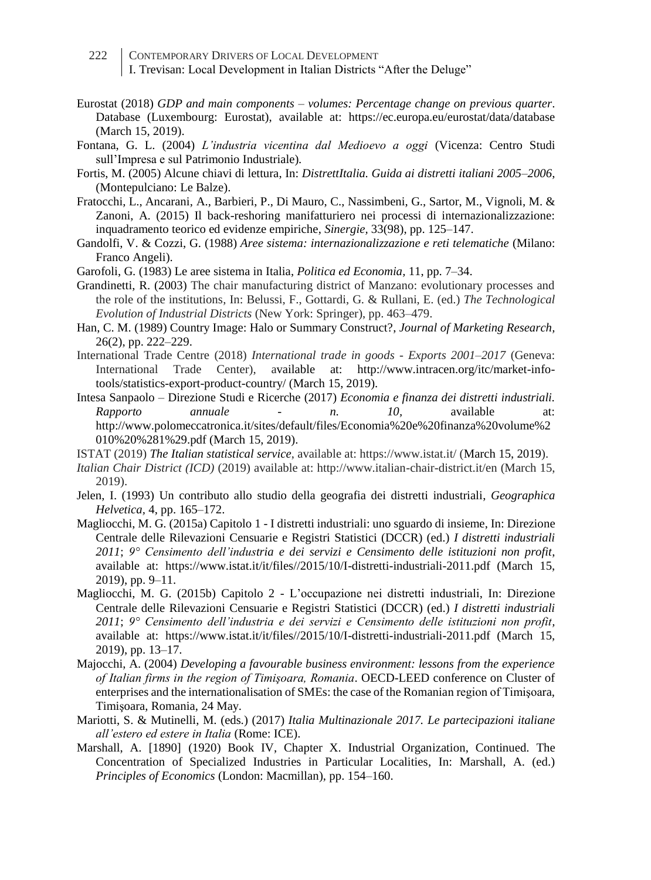222 CONTEMPORARY DRIVERS OF LOCAL DEVELOPMENT I. Trevisan: Local Development in Italian Districts "After the Deluge"

- Eurostat (2018) *GDP and main components – volumes: Percentage change on previous quarter*. Database (Luxembourg: Eurostat), available at: https://ec.europa.eu/eurostat/data/database (March 15, 2019).
- Fontana, G. L. (2004) *L'industria vicentina dal Medioevo a oggi* (Vicenza: Centro Studi sull'Impresa e sul Patrimonio Industriale)*.*
- Fortis, M. (2005) Alcune chiavi di lettura, In: *DistrettItalia. Guida ai distretti italiani 2005–2006*, (Montepulciano: Le Balze).
- Fratocchi, L., Ancarani, A., Barbieri, P., Di Mauro, C., Nassimbeni, G., Sartor, M., Vignoli, M. & Zanoni, A. (2015) Il back-reshoring manifatturiero nei processi di internazionalizzazione: inquadramento teorico ed evidenze empiriche, *Sinergie,* 33(98), pp. 125–147.
- Gandolfi, V. & Cozzi, G. (1988) *Aree sistema: internazionalizzazione e reti telematiche* (Milano: Franco Angeli).
- Garofoli, G. (1983) Le aree sistema in Italia, *Politica ed Economia,* 11, pp. 7–34.
- Grandinetti, R. (2003) The chair manufacturing district of Manzano: evolutionary processes and the role of the institutions, In: Belussi, F., Gottardi, G. & Rullani, E. (ed.) *The Technological Evolution of Industrial Districts* (New York: Springer), pp. 463–479.
- Han, C. M. (1989) Country Image: Halo or Summary Construct?, *Journal of Marketing Research,* 26(2), pp. 222–229.
- International Trade Centre (2018) *International trade in goods - Exports 2001–2017* (Geneva: International Trade Center), available at: http://www.intracen.org/itc/market-infotools/statistics-export-product-country/ (March 15, 2019).
- Intesa Sanpaolo Direzione Studi e Ricerche (2017) *Economia e finanza dei distretti industriali. Rapporto annuale - n. 10,* available at: http://www.polomeccatronica.it/sites/default/files/Economia%20e%20finanza%20volume%2 010%20%281%29.pdf (March 15, 2019).
- ISTAT (2019) *The Italian statistical service*, available at: https://www.istat.it/ (March 15, 2019).
- *Italian Chair District (ICD)* (2019) available at: http://www.italian-chair-district.it/en (March 15, 2019).
- Jelen, I. (1993) Un contributo allo studio della geografia dei distretti industriali, *Geographica Helvetica,* 4, pp. 165–172.
- Magliocchi, M. G. (2015a) Capitolo 1 I distretti industriali: uno sguardo di insieme, In: Direzione Centrale delle Rilevazioni Censuarie e Registri Statistici (DCCR) (ed.) *I distretti industriali 2011*; *9° Censimento dell'industria e dei servizi e Censimento delle istituzioni non profit*, available at: https://www.istat.it/it/files//2015/10/I-distretti-industriali-2011.pdf (March 15, 2019), pp. 9–11.
- Magliocchi, M. G. (2015b) Capitolo 2 L'occupazione nei distretti industriali, In: Direzione Centrale delle Rilevazioni Censuarie e Registri Statistici (DCCR) (ed.) *I distretti industriali 2011*; *9° Censimento dell'industria e dei servizi e Censimento delle istituzioni non profit,* available at: https://www.istat.it/it/files//2015/10/I-distretti-industriali-2011.pdf (March 15, 2019), pp. 13–17.
- Majocchi, A. (2004) *Developing a favourable business environment: lessons from the experience of Italian firms in the region of Timişoara, Romania*. OECD-LEED conference on Cluster of enterprises and the internationalisation of SMEs: the case of the Romanian region of Timişoara, Timişoara, Romania, 24 May.
- Mariotti, S. & Mutinelli, M. (eds.) (2017) *Italia Multinazionale 2017. Le partecipazioni italiane all'estero ed estere in Italia* (Rome: ICE).
- Marshall, A. [1890] (1920) Book IV, Chapter X. Industrial Organization, Continued. The Concentration of Specialized Industries in Particular Localities, In: Marshall, A. (ed.) *Principles of Economics* (London: Macmillan), pp. 154–160.